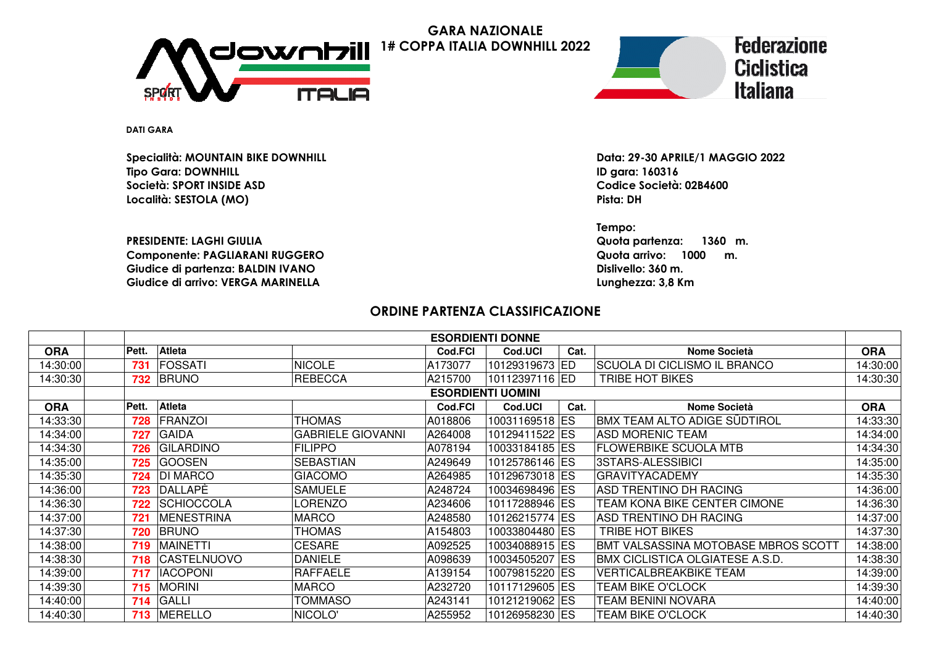

**GARA NAZIONALE1# COPPA ITALIA DOWNHILL 2022**



**DATI GARA**

**Specialità: MOUNTAIN BIKE DOWNHILLTipo Gara: DOWNHILLSocietà: SPORT INSIDE ASDLocalità: SESTOLA (MO)Pista: DH**

**PRESIDENTE: LAGHI GIULIAComponente: PAGLIARANI RUGGEROGiudice di partenza: BALDIN IVANOGiudice di arrivo: VERGA MARINELLA**

 **Data: 29-30 APRILE/1 MAGGIO 2022 ID gara: 160316Codice Società: 02B4600**

**Tempo: Quota partenza: 1360 m. Quota arrivo: 1000 m. Dislivello: 360 m. Lunghezza: 3,8 Km**

## **ORDINE PARTENZA CLASSIFICAZIONE**

|            |                          |                    |                          |                | <b>ESORDIENTI DONNE</b> |      |                                        |            |  |
|------------|--------------------------|--------------------|--------------------------|----------------|-------------------------|------|----------------------------------------|------------|--|
| <b>ORA</b> | Pett.                    | Atleta             |                          | Cod.FCI        | Cod.UCI                 | Cat. | <b>Nome Società</b>                    | <b>ORA</b> |  |
| 14:30:00   | 731                      | <b>FOSSATI</b>     | <b>NICOLE</b>            | A173077        | 10129319673 ED          |      | SCUOLA DI CICLISMO IL BRANCO           | 14:30:00   |  |
| 14:30:30   | 732                      | <b>BRUNO</b>       | <b>REBECCA</b>           | A215700        | 10112397116 ED          |      | <b>TRIBE HOT BIKES</b>                 | 14:30:30   |  |
|            | <b>ESORDIENTI UOMINI</b> |                    |                          |                |                         |      |                                        |            |  |
| <b>ORA</b> | Pett.                    | <b>Atleta</b>      |                          | <b>Cod.FCI</b> | Cod.UCI                 | Cat. | <b>Nome Società</b>                    | <b>ORA</b> |  |
| 14:33:30   | 728                      | FRANZOI            | <b>THOMAS</b>            | A018806        | 10031169518 ES          |      | BMX TEAM ALTO ADIGE SÜDTIROL           | 14:33:30   |  |
| 14:34:00   | 727                      | <b>GAIDA</b>       | <b>GABRIELE GIOVANNI</b> | A264008        | 10129411522 ES          |      | <b>ASD MORENIC TEAM</b>                | 14:34:00   |  |
| 14:34:30   | 726                      | <b>GILARDINO</b>   | <b>FILIPPO</b>           | A078194        | 10033184185 ES          |      | <b>FLOWERBIKE SCUOLA MTB</b>           | 14:34:30   |  |
| 14:35:00   | 725                      | <b>GOOSEN</b>      | SEBASTIAN                | A249649        | 10125786146 ES          |      | 3STARS-ALESSIBICI                      | 14:35:00   |  |
| 14:35:30   | 724                      | <b>DI MARCO</b>    | <b>GIACOMO</b>           | A264985        | 10129673018 ES          |      | <b>GRAVITYACADEMY</b>                  | 14:35:30   |  |
| 14:36:00   | 723                      | <b>DALLAPE</b>     | SAMUELE                  | A248724        | 10034698496 ES          |      | ASD TRENTINO DH RACING                 | 14:36:00   |  |
| 14:36:30   | 722                      | <b>SCHIOCCOLA</b>  | LORENZO                  | A234606        | 10117288946 ES          |      | TEAM KONA BIKE CENTER CIMONE           | 14:36:30   |  |
| 14:37:00   | 721                      | MENESTRINA         | <b>MARCO</b>             | A248580        | 10126215774 ES          |      | ASD TRENTINO DH RACING                 | 14:37:00   |  |
| 14:37:30   | 720                      | <b>BRUNO</b>       | <b>THOMAS</b>            | A154803        | 10033804480 ES          |      | TRIBE HOT BIKES                        | 14:37:30   |  |
| 14:38:00   | 719                      | MAINETTI           | <b>CESARE</b>            | A092525        | 10034088915 ES          |      | BMT VALSASSINA MOTOBASE MBROS SCOTT    | 14:38:00   |  |
| 14:38:30   | 718                      | <b>CASTELNUOVO</b> | <b>DANIELE</b>           | A098639        | 10034505207 ES          |      | <b>BMX CICLISTICA OLGIATESE A.S.D.</b> | 14:38:30   |  |
| 14:39:00   | 717                      | <b>IACOPONI</b>    | <b>RAFFAELE</b>          | A139154        | 10079815220 ES          |      | <b>VERTICALBREAKBIKE TEAM</b>          | 14:39:00   |  |
| 14:39:30   | 715                      | <b>MORINI</b>      | <b>MARCO</b>             | A232720        | 10117129605 ES          |      | <b>TEAM BIKE O'CLOCK</b>               | 14:39:30   |  |
| 14:40:00   | 714                      | GALLI              | TOMMASO                  | A243141        | 10121219062 ES          |      | <b>TEAM BENINI NOVARA</b>              | 14:40:00   |  |
| 14:40:30   | 713                      | <b>MERELLO</b>     | NICOLO'                  | A255952        | 10126958230 ES          |      | <b>TEAM BIKE O'CLOCK</b>               | 14:40:30   |  |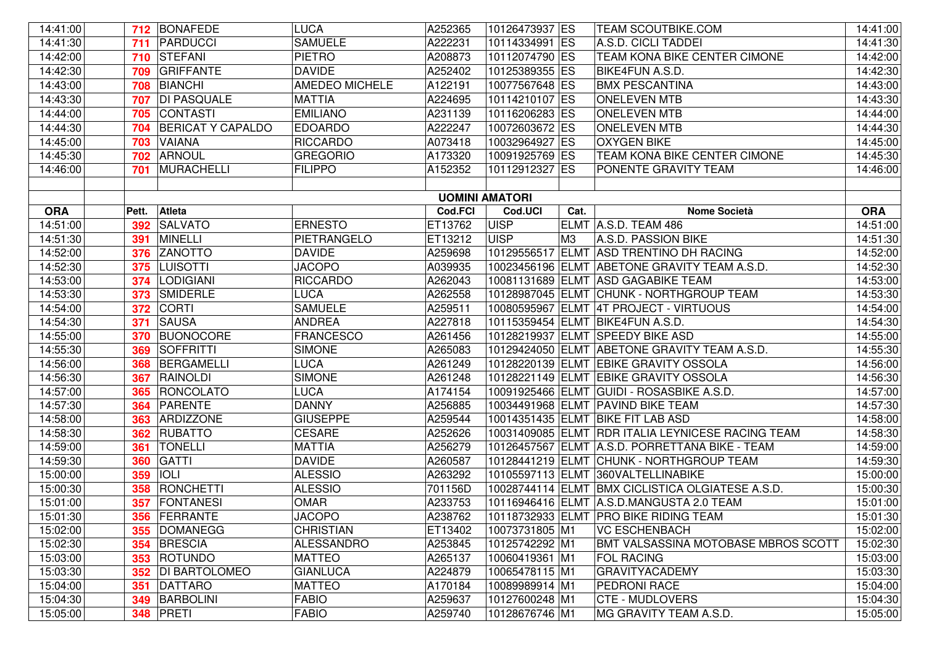| 14:41:00   |       | 712 BONAFEDE             | <b>LUCA</b>       | A252365               | 10126473937 ES   |      | <b>TEAM SCOUTBIKE.COM</b>                        | 14:41:00   |
|------------|-------|--------------------------|-------------------|-----------------------|------------------|------|--------------------------------------------------|------------|
| 14:41:30   | 711   | PARDUCCI                 | <b>SAMUELE</b>    | A222231               | 10114334991 ES   |      | A.S.D. CICLI TADDEI                              | 14:41:30   |
| 14:42:00   | 710   | <b>STEFANI</b>           | <b>PIETRO</b>     | A208873               | 10112074790 ES   |      | TEAM KONA BIKE CENTER CIMONE                     | 14:42:00   |
| 14:42:30   | 709   | <b>GRIFFANTE</b>         | <b>DAVIDE</b>     | A252402               | 10125389355 ES   |      | <b>BIKE4FUN A.S.D.</b>                           | 14:42:30   |
| 14:43:00   | 708   | <b>BIANCHI</b>           | AMEDEO MICHELE    | A122191               | 10077567648 ES   |      | <b>BMX PESCANTINA</b>                            | 14:43:00   |
| 14:43:30   | 707   | <b>DI PASQUALE</b>       | <b>MATTIA</b>     | A224695               | 10114210107 ES   |      | <b>ONELEVEN MTB</b>                              | 14:43:30   |
| 14:44:00   | 705   | <b>CONTASTI</b>          | <b>EMILIANO</b>   | A231139               | 10116206283 ES   |      | <b>ONELEVEN MTB</b>                              | 14:44:00   |
| 14:44:30   | 704   | <b>BERICAT Y CAPALDO</b> | <b>EDOARDO</b>    | A222247               | 10072603672 ES   |      | <b>ONELEVEN MTB</b>                              | 14:44:30   |
| 14:45:00   | 703   | <b>VAIANA</b>            | <b>RICCARDO</b>   | A073418               | 10032964927 ES   |      | <b>OXYGEN BIKE</b>                               | 14:45:00   |
| 14:45:30   | 702   | <b>ARNOUL</b>            | <b>GREGORIO</b>   | A173320               | 10091925769 ES   |      | TEAM KONA BIKE CENTER CIMONE                     | 14:45:30   |
| 14:46:00   | 701   | MURACHELLI               | <b>FILIPPO</b>    | A152352               | 10112912327 ES   |      | PONENTE GRAVITY TEAM                             | 14:46:00   |
|            |       |                          |                   |                       |                  |      |                                                  |            |
|            |       |                          |                   | <b>UOMINI AMATORI</b> |                  |      |                                                  |            |
| <b>ORA</b> | Pett. | Atleta                   |                   | Cod.FCI               | Cod.UCI          | Cat. | <b>Nome Società</b>                              | <b>ORA</b> |
| 14:51:00   | 392   | <b>SALVATO</b>           | <b>ERNESTO</b>    | ET13762               | <b>UISP</b>      |      | ELMT A.S.D. TEAM 486                             | 14:51:00   |
| 14:51:30   | 391   | <b>MINELLI</b>           | PIETRANGELO       | ET13212               | <b>UISP</b>      | M3   | A.S.D. PASSION BIKE                              | 14:51:30   |
| 14:52:00   | 376   | <b>ZANOTTO</b>           | <b>DAVIDE</b>     | A259698               |                  |      | 10129556517 ELMT ASD TRENTINO DH RACING          | 14:52:00   |
| 14:52:30   | 375   | <b>LUISOTTI</b>          | <b>JACOPO</b>     | A039935               |                  |      | 10023456196 ELMT ABETONE GRAVITY TEAM A.S.D.     | 14:52:30   |
| 14:53:00   | 374   | <b>LODIGIANI</b>         | <b>RICCARDO</b>   | A262043               |                  |      | 10081131689 ELMT ASD GAGABIKE TEAM               | 14:53:00   |
| 14:53:30   | 373   | <b>SMIDERLE</b>          | <b>LUCA</b>       | A262558               |                  |      | 10128987045 ELMT CHUNK - NORTHGROUP TEAM         | 14:53:30   |
| 14:54:00   | 372   | <b>CORTI</b>             | <b>SAMUELE</b>    | A259511               |                  |      | 10080595967 ELMT 4T PROJECT - VIRTUOUS           | 14:54:00   |
| 14:54:30   | 371   | <b>SAUSA</b>             | <b>ANDREA</b>     | A227818               |                  |      | 10115359454 ELMT BIKE4FUN A.S.D.                 | 14:54:30   |
| 14:55:00   | 370   | <b>BUONOCORE</b>         | <b>FRANCESCO</b>  | A261456               |                  |      | 10128219937 ELMT SPEEDY BIKE ASD                 | 14:55:00   |
| 14:55:30   | 369   | SOFFRITTI                | <b>SIMONE</b>     | A265083               |                  |      | 10129424050 ELMT ABETONE GRAVITY TEAM A.S.D.     | 14:55:30   |
| 14:56:00   | 368   | BERGAMELLI               | <b>LUCA</b>       | A261249               |                  |      | 10128220139 ELMT EBIKE GRAVITY OSSOLA            | 14:56:00   |
| 14:56:30   | 367   | <b>RAINOLDI</b>          | <b>SIMONE</b>     | A261248               |                  |      | 10128221149 ELMT EBIKE GRAVITY OSSOLA            | 14:56:30   |
| 14:57:00   | 365   | RONCOLATO                | <b>LUCA</b>       | A174154               |                  |      | 10091925466 ELMT GUIDI - ROSASBIKE A.S.D.        | 14:57:00   |
| 14:57:30   | 364   | PARENTE                  | <b>DANNY</b>      | A256885               |                  |      | 10034491968 ELMT PAVIND BIKE TEAM                | 14:57:30   |
| 14:58:00   | 363   | ARDIZZONE                | <b>GIUSEPPE</b>   | A259544               | 10014351435 ELMT |      | <b>BIKE FIT LAB ASD</b>                          | 14:58:00   |
| 14:58:30   | 362   | <b>RUBATTO</b>           | <b>CESARE</b>     | A252626               | 10031409085 ELMT |      | <b>RDR ITALIA LEYNICESE RACING TEAM</b>          | 14:58:30   |
| 14:59:00   | 361   | <b>TONELLI</b>           | <b>MATTIA</b>     | A256279               |                  |      | 10126457567 ELMT A.S.D. PORRETTANA BIKE - TEAM   | 14:59:00   |
| 14:59:30   | 360   | <b>GATTI</b>             | <b>DAVIDE</b>     | A260587               |                  |      | 10128441219 ELMT CHUNK - NORTHGROUP TEAM         | 14:59:30   |
| 15:00:00   | 359   | <b>IOLI</b>              | <b>ALESSIO</b>    | A263292               |                  |      | 10105597113 ELMT 360VALTELLINABIKE               | 15:00:00   |
| 15:00:30   | 358   | RONCHETTI                | <b>ALESSIO</b>    | 701156D               |                  |      | 10028744114 ELMT BMX CICLISTICA OLGIATESE A.S.D. | 15:00:30   |
| 15:01:00   | 357   | FONTANESI                | <b>OMAR</b>       | A233753               |                  |      | 10116946416 ELMT A.S.D.MANGUSTA 2.0 TEAM         | 15:01:00   |
| 15:01:30   |       | 356 FERRANTE             | <b>JACOPO</b>     | A238762               |                  |      | 10118732933 ELMT PRO BIKE RIDING TEAM            | 15:01:30   |
| 15:02:00   |       | 355   DOMANEGG           | <b>CHRISTIAN</b>  | ET13402               | 10073731805 M1   |      | <b>VC ESCHENBACH</b>                             | 15:02:00   |
| 15:02:30   |       | 354 BRESCIA              | <b>ALESSANDRO</b> | A253845               | 10125742292 M1   |      | BMT VALSASSINA MOTOBASE MBROS SCOTT              | 15:02:30   |
| 15:03:00   |       | 353 ROTUNDO              | <b>MATTEO</b>     | A265137               | 10060419361 M1   |      | <b>FOL RACING</b>                                | 15:03:00   |
| 15:03:30   | 352   | <b>DI BARTOLOMEO</b>     | <b>GIANLUCA</b>   | A224879               | 10065478115 M1   |      | <b>GRAVITYACADEMY</b>                            | 15:03:30   |
| 15:04:00   | 351   | DATTARO                  | <b>MATTEO</b>     | A170184               | 10089989914 M1   |      | PEDRONI RACE                                     | 15:04:00   |
| 15:04:30   | 349   | BARBOLINI                | <b>FABIO</b>      | A259637               | 10127600248 M1   |      | <b>CTE - MUDLOVERS</b>                           | 15:04:30   |
| 15:05:00   | 348   | PRETI                    | <b>FABIO</b>      | A259740               | 10128676746 M1   |      | MG GRAVITY TEAM A.S.D.                           | 15:05:00   |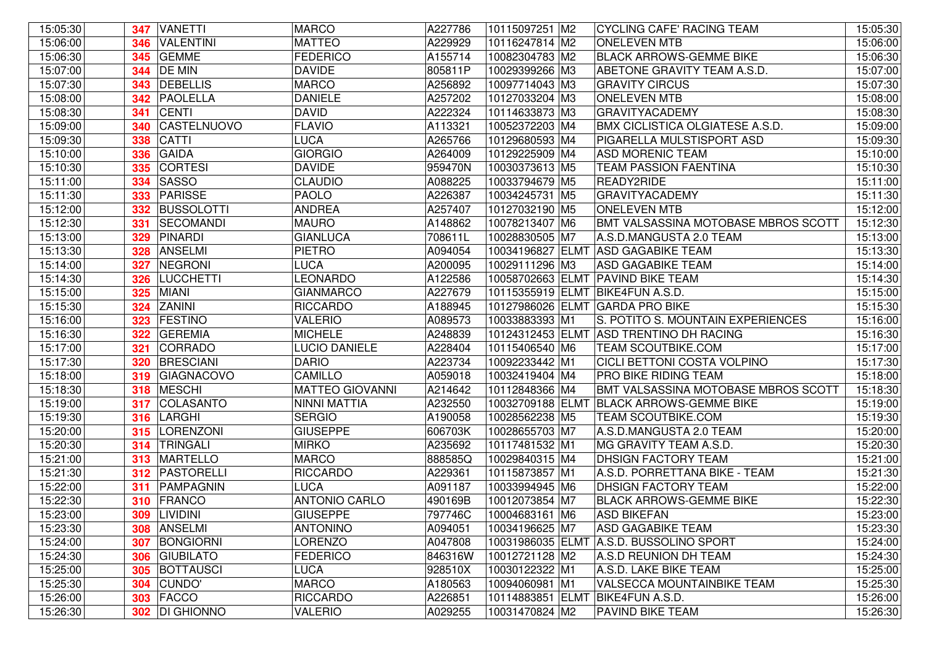| 15:05:30 |     | 347 VANETTI          | <b>MARCO</b>           | A227786 | 10115097251 M2   | <b>CYCLING CAFE' RACING TEAM</b>        | 15:05:30 |
|----------|-----|----------------------|------------------------|---------|------------------|-----------------------------------------|----------|
| 15:06:00 | 346 | VALENTINI            | <b>MATTEO</b>          | A229929 | 10116247814 M2   | <b>ONELEVEN MTB</b>                     | 15:06:00 |
| 15:06:30 | 345 | <b>GEMME</b>         | <b>FEDERICO</b>        | A155714 | 10082304783 M2   | <b>BLACK ARROWS-GEMME BIKE</b>          | 15:06:30 |
| 15:07:00 | 344 | <b>DE MIN</b>        | <b>DAVIDE</b>          | 805811P | 10029399266 M3   | ABETONE GRAVITY TEAM A.S.D.             | 15:07:00 |
| 15:07:30 | 343 | <b>DEBELLIS</b>      | <b>MARCO</b>           | A256892 | 10097714043 M3   | <b>GRAVITY CIRCUS</b>                   | 15:07:30 |
| 15:08:00 | 342 | <b>PAOLELLA</b>      | <b>DANIELE</b>         | A257202 | 10127033204 M3   | <b>ONELEVEN MTB</b>                     | 15:08:00 |
| 15:08:30 | 341 | <b>CENTI</b>         | <b>DAVID</b>           | A222324 | 10114633873 M3   | <b>GRAVITYACADEMY</b>                   | 15:08:30 |
| 15:09:00 | 340 | <b>CASTELNUOVO</b>   | <b>FLAVIO</b>          | A113321 | 10052372203 M4   | <b>BMX CICLISTICA OLGIATESE A.S.D.</b>  | 15:09:00 |
| 15:09:30 | 338 | <b>CATTI</b>         | <b>LUCA</b>            | A265766 | 10129680593 M4   | PIGARELLA MULSTISPORT ASD               | 15:09:30 |
| 15:10:00 | 336 | GAIDA                | <b>GIORGIO</b>         | A264009 | 10129225909 M4   | <b>ASD MORENIC TEAM</b>                 | 15:10:00 |
| 15:10:30 | 335 | <b>CORTESI</b>       | <b>DAVIDE</b>          | 959470N | 10030373613 M5   | <b>TEAM PASSION FAENTINA</b>            | 15:10:30 |
| 15:11:00 | 334 | <b>SASSO</b>         | <b>CLAUDIO</b>         | A088225 | 10033794679 M5   | READY2RIDE                              | 15:11:00 |
| 15:11:30 | 333 | PARISSE              | <b>PAOLO</b>           | A226387 | 10034245731 M5   | <b>GRAVITYACADEMY</b>                   | 15:11:30 |
| 15:12:00 | 332 | <b>BUSSOLOTTI</b>    | <b>ANDREA</b>          | A257407 | 10127032190 M5   | <b>ONELEVEN MTB</b>                     | 15:12:00 |
| 15:12:30 | 331 | <b>SECOMANDI</b>     | <b>MAURO</b>           | A148862 | 10078213407 M6   | BMT VALSASSINA MOTOBASE MBROS SCOTT     | 15:12:30 |
| 15:13:00 | 329 | PINARDI              | <b>GIANLUCA</b>        | 708611L | 10028830505 M7   | A.S.D.MANGUSTA 2.0 TEAM                 | 15:13:00 |
| 15:13:30 | 328 | <b>ANSELMI</b>       | <b>PIETRO</b>          | A094054 | 10034196827 ELMT | <b>ASD GAGABIKE TEAM</b>                | 15:13:30 |
| 15:14:00 | 327 | NEGRONI              | <b>LUCA</b>            | A200095 | 10029111296 M3   | <b>ASD GAGABIKE TEAM</b>                | 15:14:00 |
| 15:14:30 | 326 | <b>LUCCHETTI</b>     | <b>LEONARDO</b>        | A122586 |                  | 10058702663 ELMT PAVIND BIKE TEAM       | 15:14:30 |
| 15:15:00 | 325 | MIANI                | <b>GIANMARCO</b>       | A227679 |                  | 10115355919 ELMT BIKE4FUN A.S.D.        | 15:15:00 |
| 15:15:30 | 324 | <b>ZANINI</b>        | RICCARDO               | A188945 |                  | 10127986026 ELMT GARDA PRO BIKE         | 15:15:30 |
| 15:16:00 | 323 | <b>FESTINO</b>       | <b>VALERIO</b>         | A089573 | 10033883393 M1   | S. POTITO S. MOUNTAIN EXPERIENCES       | 15:16:00 |
| 15:16:30 | 322 | <b>GEREMIA</b>       | <b>MICHELE</b>         | A248839 |                  | 10124312453 ELMT ASD TRENTINO DH RACING | 15:16:30 |
| 15:17:00 | 321 | CORRADO              | LUCIO DANIELE          | A228404 | 10115406540 M6   | <b>TEAM SCOUTBIKE.COM</b>               | 15:17:00 |
| 15:17:30 | 320 | <b>BRESCIANI</b>     | <b>DARIO</b>           | A223734 | 10092233442 M1   | <b>CICLI BETTONI COSTA VOLPINO</b>      | 15:17:30 |
| 15:18:00 | 319 | GIAGNACOVO           | <b>CAMILLO</b>         | A059018 | 10032419404 M4   | PRO BIKE RIDING TEAM                    | 15:18:00 |
| 15:18:30 | 318 | MESCHI               | <b>MATTEO GIOVANNI</b> | A214642 | 10112848366 M4   | BMT VALSASSINA MOTOBASE MBROS SCOTT     | 15:18:30 |
| 15:19:00 | 317 | COLASANTO            | NINNI MATTIA           | A232550 | 10032709188 ELMT | <b>BLACK ARROWS-GEMME BIKE</b>          | 15:19:00 |
| 15:19:30 |     | 316 LARGHI           | <b>SERGIO</b>          | A190058 | 10028562238 M5   | <b>TEAM SCOUTBIKE.COM</b>               | 15:19:30 |
| 15:20:00 | 315 | <b>LORENZONI</b>     | <b>GIUSEPPE</b>        | 606703K | 10028655703 M7   | A.S.D.MANGUSTA 2.0 TEAM                 | 15:20:00 |
| 15:20:30 |     | 314 TRINGALI         | <b>MIRKO</b>           | A235692 | 10117481532 M1   | MG GRAVITY TEAM A.S.D.                  | 15:20:30 |
| 15:21:00 | 313 | <b>MARTELLO</b>      | <b>MARCO</b>           | 888585Q | 10029840315 M4   | DHSIGN FACTORY TEAM                     | 15:21:00 |
| 15:21:30 | 312 | PASTORELLI           | <b>RICCARDO</b>        | A229361 | 10115873857 M1   | A.S.D. PORRETTANA BIKE - TEAM           | 15:21:30 |
| 15:22:00 | 311 | PAMPAGNIN            | <b>LUCA</b>            | A091187 | 10033994945 M6   | DHSIGN FACTORY TEAM                     | 15:22:00 |
| 15:22:30 |     | 310 FRANCO           | <b>ANTONIO CARLO</b>   | 490169B | 10012073854 M7   | <b>BLACK ARROWS-GEMME BIKE</b>          | 15:22:30 |
| 15:23:00 |     | 309 LIVIDINI         | <b>GIUSEPPE</b>        | 797746C | 10004683161 M6   | <b>ASD BIKEFAN</b>                      | 15:23:00 |
| 15:23:30 |     | 308 ANSELMI          | <b>ANTONINO</b>        | A094051 | 10034196625 M7   | <b>ASD GAGABIKE TEAM</b>                | 15:23:30 |
| 15:24:00 | 307 | BONGIORNI            | LORENZO                | A047808 |                  | 10031986035 ELMT A.S.D. BUSSOLINO SPORT | 15:24:00 |
| 15:24:30 | 306 | <b>GIUBILATO</b>     | <b>FEDERICO</b>        | 846316W | 10012721128 M2   | A.S.D REUNION DH TEAM                   | 15:24:30 |
| 15:25:00 |     | <b>305 BOTTAUSCI</b> | <b>LUCA</b>            | 928510X | 10030122322 M1   | A.S.D. LAKE BIKE TEAM                   | 15:25:00 |
| 15:25:30 | 304 | CUNDO'               | <b>MARCO</b>           | A180563 | 10094060981 M1   | <b>VALSECCA MOUNTAINBIKE TEAM</b>       | 15:25:30 |
| 15:26:00 |     | <b>303 FACCO</b>     | <b>RICCARDO</b>        | A226851 | 10114883851 ELMT | BIKE4FUN A.S.D.                         | 15:26:00 |
| 15:26:30 | 302 | <b>DI GHIONNO</b>    | <b>VALERIO</b>         | A029255 | 10031470824 M2   | PAVIND BIKE TEAM                        | 15:26:30 |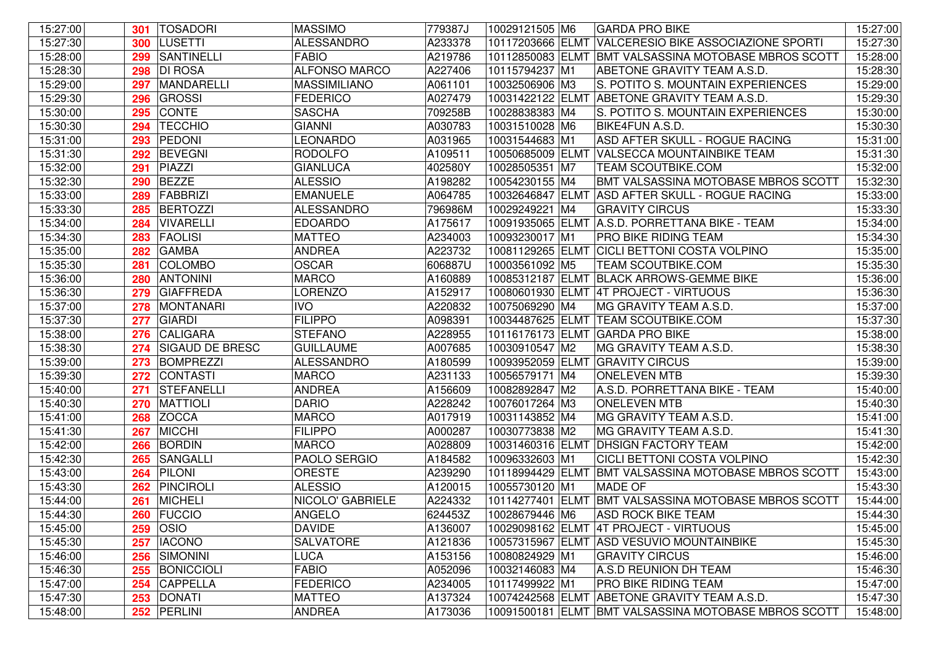| 15:27:00 | 301 | <b>TOSADORI</b>        | <b>MASSIMO</b>       | 779387J | 10029121505 M6   | <b>GARDA PRO BIKE</b>                                | 15:27:00 |
|----------|-----|------------------------|----------------------|---------|------------------|------------------------------------------------------|----------|
| 15:27:30 | 300 | <b>LUSETTI</b>         | <b>ALESSANDRO</b>    | A233378 | 10117203666 ELMT | <b>VALCERESIO BIKE ASSOCIAZIONE SPORTI</b>           | 15:27:30 |
| 15:28:00 | 299 | <b>SANTINELLI</b>      | <b>FABIO</b>         | A219786 | 10112850083 ELMT | BMT VALSASSINA MOTOBASE MBROS SCOTT                  | 15:28:00 |
| 15:28:30 | 298 | <b>DI ROSA</b>         | <b>ALFONSO MARCO</b> | A227406 | 10115794237 M1   | ABETONE GRAVITY TEAM A.S.D.                          | 15:28:30 |
| 15:29:00 | 297 | MANDARELLI             | <b>MASSIMILIANO</b>  | A061101 | 10032506906 M3   | S. POTITO S. MOUNTAIN EXPERIENCES                    | 15:29:00 |
| 15:29:30 | 296 | <b>GROSSI</b>          | <b>FEDERICO</b>      | A027479 | 10031422122 ELMT | ABETONE GRAVITY TEAM A.S.D.                          | 15:29:30 |
| 15:30:00 | 295 | <b>CONTE</b>           | <b>SASCHA</b>        | 709258B | 10028838383 M4   | S. POTITO S. MOUNTAIN EXPERIENCES                    | 15:30:00 |
| 15:30:30 | 294 | <b>TECCHIO</b>         | <b>GIANNI</b>        | A030783 | 10031510028 M6   | <b>BIKE4FUN A.S.D.</b>                               | 15:30:30 |
| 15:31:00 | 293 | PEDONI                 | LEONARDO             | A031965 | 10031544683 M1   | ASD AFTER SKULL - ROGUE RACING                       | 15:31:00 |
| 15:31:30 | 292 | <b>BEVEGNI</b>         | <b>RODOLFO</b>       | A109511 | 10050685009 ELMT | VALSECCA MOUNTAINBIKE TEAM                           | 15:31:30 |
| 15:32:00 | 291 | PIAZZI                 | <b>GIANLUCA</b>      | 402580Y | 10028505351 M7   | <b>TEAM SCOUTBIKE.COM</b>                            | 15:32:00 |
| 15:32:30 | 290 | <b>BEZZE</b>           | <b>ALESSIO</b>       | A198282 | 10054230155 M4   | BMT VALSASSINA MOTOBASE MBROS SCOTT                  | 15:32:30 |
| 15:33:00 | 289 | FABBRIZI               | <b>EMANUELE</b>      | A064785 | 10032646847 ELMT | ASD AFTER SKULL - ROGUE RACING                       | 15:33:00 |
| 15:33:30 | 285 | <b>BERTOZZI</b>        | <b>ALESSANDRO</b>    | 796986M | 10029249221 M4   | <b>GRAVITY CIRCUS</b>                                | 15:33:30 |
| 15:34:00 | 284 | VIVARELLI              | <b>EDOARDO</b>       | A175617 |                  | 10091935065 ELMT A.S.D. PORRETTANA BIKE - TEAM       | 15:34:00 |
| 15:34:30 | 283 | <b>FAOLISI</b>         | <b>MATTEO</b>        | A234003 | 10093230017 M1   | PRO BIKE RIDING TEAM                                 | 15:34:30 |
| 15:35:00 | 282 | <b>GAMBA</b>           | <b>ANDREA</b>        | A223732 |                  | 10081129265 ELMT CICLI BETTONI COSTA VOLPINO         | 15:35:00 |
| 15:35:30 | 281 | <b>COLOMBO</b>         | <b>OSCAR</b>         | 606887U | 10003561092 M5   | <b>TEAM SCOUTBIKE.COM</b>                            | 15:35:30 |
| 15:36:00 | 280 | <b>ANTONINI</b>        | <b>MARCO</b>         | A160889 |                  | 10085312187 ELMT BLACK ARROWS-GEMME BIKE             | 15:36:00 |
| 15:36:30 | 279 | <b>GIAFFREDA</b>       | <b>LORENZO</b>       | A152917 |                  | 10080601930 ELMT 4T PROJECT - VIRTUOUS               | 15:36:30 |
| 15:37:00 | 278 | MONTANARI              | <b>IVO</b>           | A220832 | 10075069290 M4   | MG GRAVITY TEAM A.S.D.                               | 15:37:00 |
| 15:37:30 | 277 | <b>GIARDI</b>          | <b>FILIPPO</b>       | A098391 | 10034487625 ELMT | <b>TEAM SCOUTBIKE.COM</b>                            | 15:37:30 |
| 15:38:00 | 276 | CALIGARA               | <b>STEFANO</b>       | A228955 |                  | 10116176173 ELMT GARDA PRO BIKE                      | 15:38:00 |
| 15:38:30 | 274 | <b>SIGAUD DE BRESC</b> | <b>GUILLAUME</b>     | A007685 | 10030910547 M2   | MG GRAVITY TEAM A.S.D.                               | 15:38:30 |
| 15:39:00 | 273 | <b>BOMPREZZI</b>       | <b>ALESSANDRO</b>    | A180599 |                  | 10093952059 ELMT GRAVITY CIRCUS                      | 15:39:00 |
| 15:39:30 | 272 | CONTASTI               | <b>MARCO</b>         | A231133 | 10056579171 M4   | <b>ONELEVEN MTB</b>                                  | 15:39:30 |
| 15:40:00 | 271 | <b>STEFANELLI</b>      | <b>ANDREA</b>        | A156609 | 10082892847 M2   | A.S.D. PORRETTANA BIKE - TEAM                        | 15:40:00 |
| 15:40:30 | 270 | <b>MATTIOLI</b>        | <b>DARIO</b>         | A228242 | 10076017264 M3   | <b>ONELEVEN MTB</b>                                  | 15:40:30 |
| 15:41:00 | 268 | <b>ZOCCA</b>           | <b>MARCO</b>         | A017919 | 10031143852 M4   | MG GRAVITY TEAM A.S.D.                               | 15:41:00 |
| 15:41:30 | 267 | <b>MICCHI</b>          | <b>FILIPPO</b>       | A000287 | 10030773838 M2   | MG GRAVITY TEAM A.S.D.                               | 15:41:30 |
| 15:42:00 | 266 | BORDIN                 | <b>MARCO</b>         | A028809 | 10031460316 ELMT | <b>DHSIGN FACTORY TEAM</b>                           | 15:42:00 |
| 15:42:30 | 265 | SANGALLI               | PAOLO SERGIO         | A184582 | 10096332603 M1   | CICLI BETTONI COSTA VOLPINO                          | 15:42:30 |
| 15:43:00 | 264 | <b>PILONI</b>          | <b>ORESTE</b>        | A239290 | 10118994429 ELMT | BMT VALSASSINA MOTOBASE MBROS SCOTT                  | 15:43:00 |
| 15:43:30 | 262 | <b>PINCIROLI</b>       | <b>ALESSIO</b>       | A120015 | 10055730120 M1   | <b>MADE OF</b>                                       | 15:43:30 |
| 15:44:00 | 261 | <b>MICHELI</b>         | NICOLO' GABRIELE     | A224332 |                  | 10114277401 ELMT BMT VALSASSINA MOTOBASE MBROS SCOTT | 15:44:00 |
| 15:44:30 |     | <b>260 FUCCIO</b>      | ANGELO               | 624453Z | 10028679446 M6   | <b>ASD ROCK BIKE TEAM</b>                            | 15:44:30 |
| 15:45:00 |     | <b>259 OSIO</b>        | <b>DAVIDE</b>        | A136007 |                  | 10029098162 ELMT 4T PROJECT - VIRTUOUS               | 15:45:00 |
| 15:45:30 |     | 257   IACONO           | <b>SALVATORE</b>     | A121836 |                  | 10057315967 ELMT ASD VESUVIO MOUNTAINBIKE            | 15:45:30 |
| 15:46:00 |     | 256 SIMONINI           | <b>LUCA</b>          | A153156 | 10080824929 M1   | <b>GRAVITY CIRCUS</b>                                | 15:46:00 |
| 15:46:30 |     | 255 BONICCIOLI         | <b>FABIO</b>         | A052096 | 10032146083 M4   | A.S.D REUNION DH TEAM                                | 15:46:30 |
| 15:47:00 |     | 254 CAPPELLA           | FEDERICO             | A234005 | 10117499922 M1   | <b>PRO BIKE RIDING TEAM</b>                          | 15:47:00 |
| 15:47:30 |     | 253 DONATI             | <b>MATTEO</b>        | A137324 |                  | 10074242568 ELMT ABETONE GRAVITY TEAM A.S.D.         | 15:47:30 |
| 15:48:00 |     | 252 PERLINI            | <b>ANDREA</b>        | A173036 |                  | 10091500181 ELMT BMT VALSASSINA MOTOBASE MBROS SCOTT | 15:48:00 |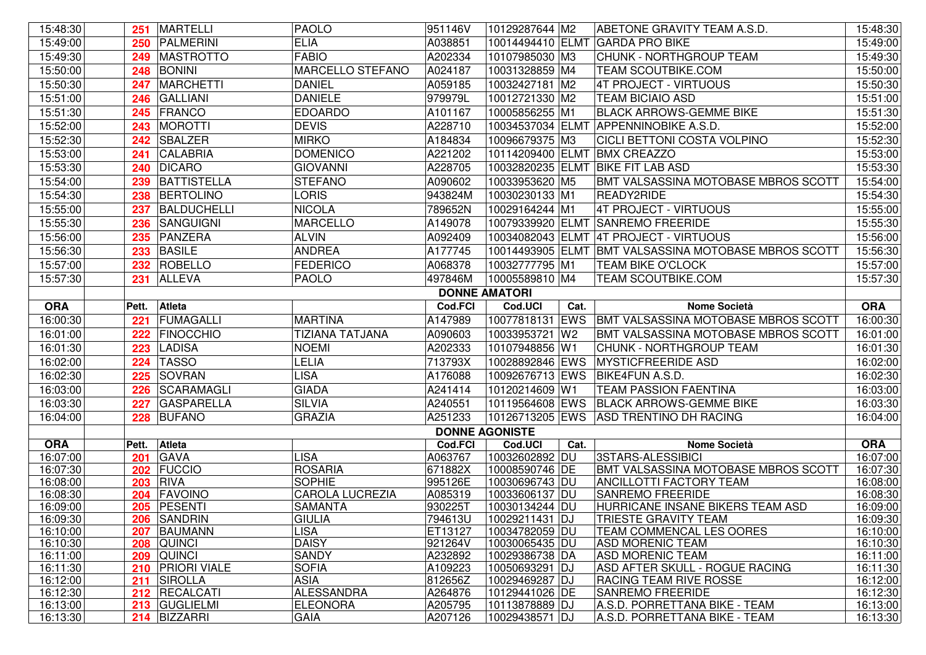| 15:48:30             | 251   | <b>MARTELLI</b>                | <b>PAOLO</b>                   | 951146V               | 10129287644 M2                   |                | ABETONE GRAVITY TEAM A.S.D.                                    | 15:48:30             |
|----------------------|-------|--------------------------------|--------------------------------|-----------------------|----------------------------------|----------------|----------------------------------------------------------------|----------------------|
| 15:49:00             | 250   | PALMERINI                      | <b>ELIA</b>                    | A038851               | 10014494410 ELMT                 |                | <b>GARDA PRO BIKE</b>                                          | 15:49:00             |
| 15:49:30             | 249   | <b>MASTROTTO</b>               | <b>FABIO</b>                   | A202334               | 10107985030 M3                   |                | CHUNK - NORTHGROUP TEAM                                        | 15:49:30             |
| 15:50:00             | 248   | <b>BONINI</b>                  | MARCELLO STEFANO               | A024187               | 10031328859 M4                   |                | <b>TEAM SCOUTBIKE.COM</b>                                      | 15:50:00             |
| 15:50:30             | 247   | <b>MARCHETTI</b>               | <b>DANIEL</b>                  | A059185               | 10032427181 M2                   |                | 4T PROJECT - VIRTUOUS                                          | 15:50:30             |
| 15:51:00             | 246   | <b>GALLIANI</b>                | <b>DANIELE</b>                 | 979979L               | 10012721330 M2                   |                | <b>TEAM BICIAIO ASD</b>                                        | 15:51:00             |
| 15:51:30             | 245   | FRANCO                         | <b>EDOARDO</b>                 | A101167               | 10005856255 M1                   |                | <b>BLACK ARROWS-GEMME BIKE</b>                                 | 15:51:30             |
| 15:52:00             | 243   | <b>MOROTTI</b>                 | <b>DEVIS</b>                   | A228710               |                                  |                | 10034537034 ELMT APPENNINOBIKE A.S.D.                          | 15:52:00             |
| 15:52:30             | 242   | <b>SBALZER</b>                 | <b>MIRKO</b>                   | A184834               | 10096679375 M3                   |                | <b>CICLI BETTONI COSTA VOLPINO</b>                             | 15:52:30             |
| 15:53:00             | 241   | <b>CALABRIA</b>                | <b>DOMENICO</b>                | A221202               |                                  |                | 10114209400 ELMT BMX CREAZZO                                   | 15:53:00             |
| 15:53:30             | 240   | <b>DICARO</b>                  | <b>GIOVANNI</b>                | A228705               |                                  |                | 10032820235 ELMT BIKE FIT LAB ASD                              | 15:53:30             |
| 15:54:00             | 239   | <b>BATTISTELLA</b>             | <b>STEFANO</b>                 | A090602               | 10033953620 M5                   |                | BMT VALSASSINA MOTOBASE MBROS SCOTT                            | 15:54:00             |
| 15:54:30             | 238   | <b>BERTOLINO</b>               | <b>LORIS</b>                   | 943824M               | 10030230133 M1                   |                | READY2RIDE                                                     | 15:54:30             |
| 15:55:00             | 237   | BALDUCHELLI                    | <b>NICOLA</b>                  | 789652N               | 10029164244 M1                   |                | 4T PROJECT - VIRTUOUS                                          | 15:55:00             |
| 15:55:30             | 236   | SANGUIGNI                      | <b>MARCELLO</b>                | A149078               |                                  |                | 10079339920 ELMT SANREMO FREERIDE                              | 15:55:30             |
| 15:56:00             | 235   | PANZERA                        | <b>ALVIN</b>                   | A092409               |                                  |                | 10034082043 ELMT 4T PROJECT - VIRTUOUS                         | 15:56:00             |
| 15:56:30             | 233   | <b>BASILE</b>                  | <b>ANDREA</b>                  | A177745               |                                  |                | 10014493905 ELMT BMT VALSASSINA MOTOBASE MBROS SCOTT           | 15:56:30             |
| 15:57:00             | 232   | ROBELLO                        | <b>FEDERICO</b>                | A068378               | 10032777795 M1                   |                | <b>TEAM BIKE O'CLOCK</b>                                       | 15:57:00             |
| 15:57:30             | 231   | <b>ALLEVA</b>                  | <b>PAOLO</b>                   | 497846M               | 10005589810 M4                   |                | <b>TEAM SCOUTBIKE.COM</b>                                      | 15:57:30             |
|                      |       |                                |                                | <b>DONNE AMATORI</b>  |                                  |                |                                                                |                      |
| <b>ORA</b>           | Pett. | Atleta                         |                                | <b>Cod.FCI</b>        | Cod.UCI                          | Cat.           | <b>Nome Società</b>                                            | <b>ORA</b>           |
| 16:00:30             | 221   | FUMAGALLI                      | <b>MARTINA</b>                 | A147989               | 10077818131 EWS                  |                | BMT VALSASSINA MOTOBASE MBROS SCOTT                            | 16:00:30             |
| 16:01:00             | 222   | <b>FINOCCHIO</b>               | TIZIANA TATJANA                | A090603               | 10033953721                      | W <sub>2</sub> | BMT VALSASSINA MOTOBASE MBROS SCOTT                            | 16:01:00             |
| 16:01:30             | 223   | <b>LADISA</b>                  | <b>NOEMI</b>                   | A202333               | 10107948856 W1                   |                | <b>CHUNK - NORTHGROUP TEAM</b>                                 | 16:01:30             |
| 16:02:00             | 224   | <b>TASSO</b>                   | <b>LELIA</b>                   | 713793X               | 10028892846 EWS                  |                | <b>MYSTICFREERIDE ASD</b>                                      | 16:02:00             |
| 16:02:30             | 225   | SOVRAN                         | <b>LISA</b>                    | A176088               | 10092676713 EWS                  |                | BIKE4FUN A.S.D.                                                | 16:02:30             |
| 16:03:00             | 226   | SCARAMAGLI                     | <b>GIADA</b>                   | A241414               | 10120214609 W1                   |                | <b>TEAM PASSION FAENTINA</b>                                   | 16:03:00             |
| 16:03:30             | 227   | GASPARELLA                     | <b>SILVIA</b>                  | A240551               | 10119564608 EWS                  |                | <b>BLACK ARROWS-GEMME BIKE</b>                                 | 16:03:30             |
| 16:04:00             | 228   | <b>BUFANO</b>                  | <b>GRAZIA</b>                  | A251233               | 10126713205 EWS                  |                | <b>ASD TRENTINO DH RACING</b>                                  | 16:04:00             |
|                      |       |                                |                                | <b>DONNE AGONISTE</b> |                                  |                |                                                                |                      |
| <b>ORA</b>           | Pett. | Atleta                         |                                | <b>Cod.FCI</b>        | Cod.UCI                          | Cat.           | <b>Nome Società</b>                                            | <b>ORA</b>           |
| 16:07:00             | 201   | <b>GAVA</b>                    | <b>LISA</b>                    | A063767               | 10032602892 DU                   |                | 3STARS-ALESSIBICI                                              | 16:07:00             |
| 16:07:30             |       | 202 FUCCIO                     | <b>ROSARIA</b>                 | 671882X               | 10008590746 DE                   |                | BMT VALSASSINA MOTOBASE MBROS SCOTT                            | 16:07:30             |
| 16:08:00             |       | <b>203 RIVA</b>                | <b>SOPHIE</b>                  | 995126E               | 10030696743 DU                   |                | <b>ANCILLOTTI FACTORY TEAM</b>                                 | 16:08:00             |
| 16:08:30             |       | 204 FAVOINO                    | <b>CAROLA LUCREZIA</b>         | A085319               | 10033606137 DU                   |                | <b>SANREMO FREERIDE</b>                                        | 16:08:30             |
| 16:09:00<br>16:09:30 |       | 205   PESENTI                  | SAMANTA<br><b>GIULIA</b>       | 930225T<br>794613U    | 10030134244 DU                   |                | HURRICANE INSANE BIKERS TEAM ASD<br>TRIESTE GRAVITY TEAM       | 16:09:00<br>16:09:30 |
| 16:10:00             |       | 206 SANDRIN<br>207 BAUMANN     | <b>LISA</b>                    | ET13127               | 10029211431 DJ<br>10034782059 DU |                | TEAM COMMENCAL LES OORES                                       | 16:10:00             |
| 16:10:30             |       | 208 QUINCI                     | <b>DAISY</b>                   | 921264V               | 10030065435 DU                   |                | <b>ASD MORENIC TEAM</b>                                        | 16:10:30             |
| 16:11:00             |       |                                |                                |                       | 10029386738 DA                   |                | <b>ASD MORENIC TEAM</b>                                        | 16:11:00             |
|                      |       |                                |                                |                       |                                  |                |                                                                |                      |
| 16:11:30             |       | 209 QUINCI<br>210 PRIORI VIALE | <b>SANDY</b><br><b>SOFIA</b>   | A232892<br>A109223    | 10050693291 DJ                   |                | ASD AFTER SKULL - ROGUE RACING                                 |                      |
| 16:12:00             |       | 211 SIROLLA                    | <b>ASIA</b>                    | 812656Z               | 10029469287 DJ                   |                | <b>RACING TEAM RIVE ROSSE</b>                                  | 16:11:30<br>16:12:00 |
| 16:12:30             |       | 212 RECALCATI                  | <b>ALESSANDRA</b>              | A264876               | 10129441026 DE                   |                | <b>SANREMO FREERIDE</b>                                        | 16:12:30             |
| 16:13:00<br>16:13:30 |       | 213 GUGLIELMI<br>214 BIZZARRI  | <b>ELEONORA</b><br><b>GAIA</b> | A205795<br>A207126    | 10113878889 DJ<br>10029438571 DJ |                | A.S.D. PORRETTANA BIKE - TEAM<br>A.S.D. PORRETTANA BIKE - TEAM | 16:13:00<br>16:13:30 |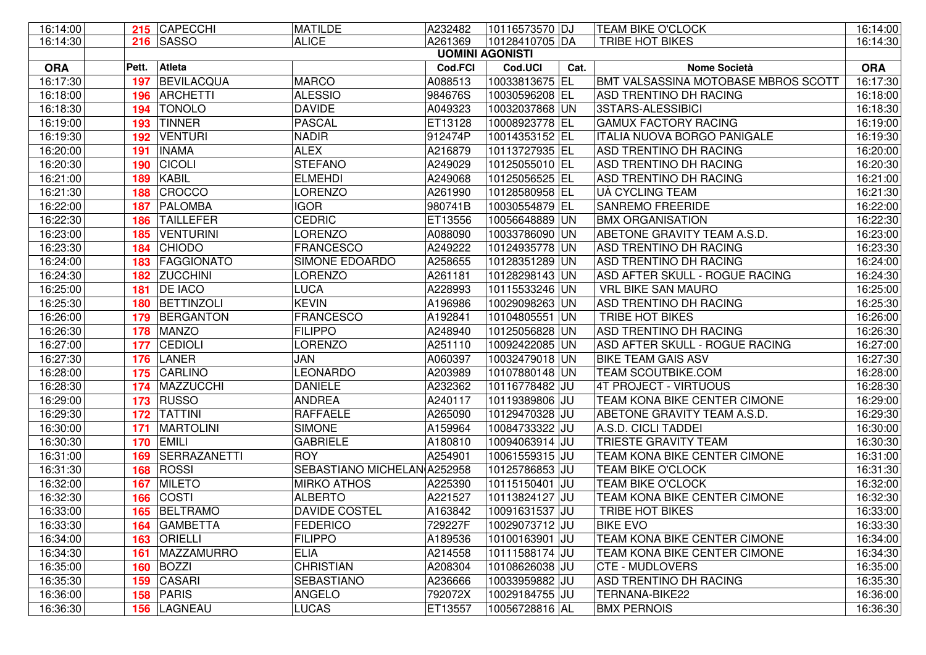| 16:14:00   |       | 215 CAPECCHI      | <b>MATILDE</b>              | A232482                | 10116573570 DJ |      | <b>TEAM BIKE O'CLOCK</b>            | 16:14:00   |
|------------|-------|-------------------|-----------------------------|------------------------|----------------|------|-------------------------------------|------------|
| 16:14:30   |       | <b>216 SASSO</b>  | <b>ALICE</b>                | A261369                | 10128410705 DA |      | <b>TRIBE HOT BIKES</b>              | 16:14:30   |
|            |       |                   |                             | <b>UOMINI AGONISTI</b> |                |      |                                     |            |
| <b>ORA</b> | Pett. | Atleta            |                             | <b>Cod.FCI</b>         | Cod.UCI        | Cat. | <b>Nome Società</b>                 | <b>ORA</b> |
| 16:17:30   | 197   | BEVILACQUA        | <b>MARCO</b>                | A088513                | 10033813675 EL |      | BMT VALSASSINA MOTOBASE MBROS SCOTT | 16:17:30   |
| 16:18:00   | 196   | <b>ARCHETTI</b>   | <b>ALESSIO</b>              | 984676S                | 10030596208 EL |      | ASD TRENTINO DH RACING              | 16:18:00   |
| 16:18:30   | 194   | <b>TONOLO</b>     | <b>DAVIDE</b>               | A049323                | 10032037868 UN |      | 3STARS-ALESSIBICI                   | 16:18:30   |
| 16:19:00   | 193   | <b>TINNER</b>     | <b>PASCAL</b>               | ET13128                | 10008923778 EL |      | <b>GAMUX FACTORY RACING</b>         | 16:19:00   |
| 16:19:30   | 192   | <b>VENTURI</b>    | <b>NADIR</b>                | 912474P                | 10014353152 EL |      | <b>ITALIA NUOVA BORGO PANIGALE</b>  | 16:19:30   |
| 16:20:00   | 191   | <b>INAMA</b>      | <b>ALEX</b>                 | A216879                | 10113727935 EL |      | <b>ASD TRENTINO DH RACING</b>       | 16:20:00   |
| 16:20:30   | 190   | <b>CICOLI</b>     | <b>STEFANO</b>              | A249029                | 10125055010 EL |      | ASD TRENTINO DH RACING              | 16:20:30   |
| 16:21:00   | 189   | <b>KABIL</b>      | <b>ELMEHDI</b>              | A249068                | 10125056525 EL |      | ASD TRENTINO DH RACING              | 16:21:00   |
| 16:21:30   | 188   | CROCCO            | <b>LORENZO</b>              | A261990                | 10128580958 EL |      | UÀ CYCLING TEAM                     | 16:21:30   |
| 16:22:00   | 187   | PALOMBA           | <b>IGOR</b>                 | 980741B                | 10030554879 EL |      | <b>SANREMO FREERIDE</b>             | 16:22:00   |
| 16:22:30   | 186   | <b>TAILLEFER</b>  | <b>CEDRIC</b>               | ET13556                | 10056648889 UN |      | <b>BMX ORGANISATION</b>             | 16:22:30   |
| 16:23:00   | 185   | <b>VENTURINI</b>  | <b>LORENZO</b>              | A088090                | 10033786090 UN |      | ABETONE GRAVITY TEAM A.S.D.         | 16:23:00   |
| 16:23:30   | 184   | <b>CHIODO</b>     | <b>FRANCESCO</b>            | A249222                | 10124935778 UN |      | ASD TRENTINO DH RACING              | 16:23:30   |
| 16:24:00   | 183   | <b>FAGGIONATO</b> | SIMONE EDOARDO              | A258655                | 10128351289 UN |      | ASD TRENTINO DH RACING              | 16:24:00   |
| 16:24:30   | 182   | <b>ZUCCHINI</b>   | LORENZO                     | A261181                | 10128298143 UN |      | ASD AFTER SKULL - ROGUE RACING      | 16:24:30   |
| 16:25:00   | 181   | <b>DE IACO</b>    | <b>LUCA</b>                 | A228993                | 10115533246 UN |      | <b>VRL BIKE SAN MAURO</b>           | 16:25:00   |
| 16:25:30   | 180   | BETTINZOLI        | <b>KEVIN</b>                | A196986                | 10029098263 UN |      | ASD TRENTINO DH RACING              | 16:25:30   |
| 16:26:00   | 179   | BERGANTON         | <b>FRANCESCO</b>            | A192841                | 10104805551 UN |      | <b>TRIBE HOT BIKES</b>              | 16:26:00   |
| 16:26:30   | 178   | <b>MANZO</b>      | <b>FILIPPO</b>              | A248940                | 10125056828 UN |      | ASD TRENTINO DH RACING              | 16:26:30   |
| 16:27:00   | 177   | CEDIOLI           | <b>LORENZO</b>              | A251110                | 10092422085 UN |      | ASD AFTER SKULL - ROGUE RACING      | 16:27:00   |
| 16:27:30   | 176   | LANER             | JAN                         | A060397                | 10032479018 UN |      | <b>BIKE TEAM GAIS ASV</b>           | 16:27:30   |
| 16:28:00   | 175   | <b>CARLINO</b>    | LEONARDO                    | A203989                | 10107880148 UN |      | <b>TEAM SCOUTBIKE.COM</b>           | 16:28:00   |
| 16:28:30   | 174   | MAZZUCCHI         | <b>DANIELE</b>              | A232362                | 10116778482 JU |      | <b>4T PROJECT - VIRTUOUS</b>        | 16:28:30   |
| 16:29:00   | 173   | <b>RUSSO</b>      | <b>ANDREA</b>               | A240117                | 10119389806 JU |      | TEAM KONA BIKE CENTER CIMONE        | 16:29:00   |
| 16:29:30   | 172   | <b>TATTINI</b>    | <b>RAFFAELE</b>             | A265090                | 10129470328 JU |      | ABETONE GRAVITY TEAM A.S.D.         | 16:29:30   |
| 16:30:00   | 171   | <b>MARTOLINI</b>  | <b>SIMONE</b>               | A159964                | 10084733322 JU |      | A.S.D. CICLI TADDEI                 | 16:30:00   |
| 16:30:30   | 170   | <b>EMILI</b>      | <b>GABRIELE</b>             | A180810                | 10094063914 JU |      | TRIESTE GRAVITY TEAM                | 16:30:30   |
| 16:31:00   | 169   | SERRAZANETTI      | <b>ROY</b>                  | A254901                | 10061559315 JU |      | TEAM KONA BIKE CENTER CIMONE        | 16:31:00   |
| 16:31:30   | 168   | ROSSI             | SEBASTIANO MICHELAN A252958 |                        | 10125786853 JU |      | <b>TEAM BIKE O'CLOCK</b>            | 16:31:30   |
| 16:32:00   | 167   | <b>MILETO</b>     | <b>MIRKO ATHOS</b>          | A225390                | 10115150401 JU |      | <b>TEAM BIKE O'CLOCK</b>            | 16:32:00   |
| 16:32:30   | 166   | COSTI             | <b>ALBERTO</b>              | A221527                | 10113824127 JU |      | <b>TEAM KONA BIKE CENTER CIMONE</b> | 16:32:30   |
| 16:33:00   | 165   | BELTRAMO          | DAVIDE COSTEL               | A163842                | 10091631537 JU |      | <b>TRIBE HOT BIKES</b>              | 16:33:00   |
| 16:33:30   | 164   | <b>GAMBETTA</b>   | <b>FEDERICO</b>             | 729227F                | 10029073712 JU |      | <b>BIKE EVO</b>                     | 16:33:30   |
| 16:34:00   | 163   | <b>ORIELLI</b>    | <b>FILIPPO</b>              | A189536                | 10100163901 JU |      | TEAM KONA BIKE CENTER CIMONE        | 16:34:00   |
| 16:34:30   | 161   | MAZZAMURRO        | <b>ELIA</b>                 | A214558                | 10111588174 JU |      | TEAM KONA BIKE CENTER CIMONE        | 16:34:30   |
| 16:35:00   | 160   | <b>BOZZI</b>      | <b>CHRISTIAN</b>            | A208304                | 10108626038 JU |      | <b>CTE - MUDLOVERS</b>              | 16:35:00   |
| 16:35:30   | 159   | CASARI            | <b>SEBASTIANO</b>           | A236666                | 10033959882 JU |      | ASD TRENTINO DH RACING              | 16:35:30   |
| 16:36:00   | 158   | PARIS             | <b>ANGELO</b>               | 792072X                | 10029184755 JU |      | TERNANA-BIKE22                      | 16:36:00   |
| 16:36:30   |       | 156 LAGNEAU       | <b>LUCAS</b>                | ET13557                | 10056728816 AL |      | <b>BMX PERNOIS</b>                  | 16:36:30   |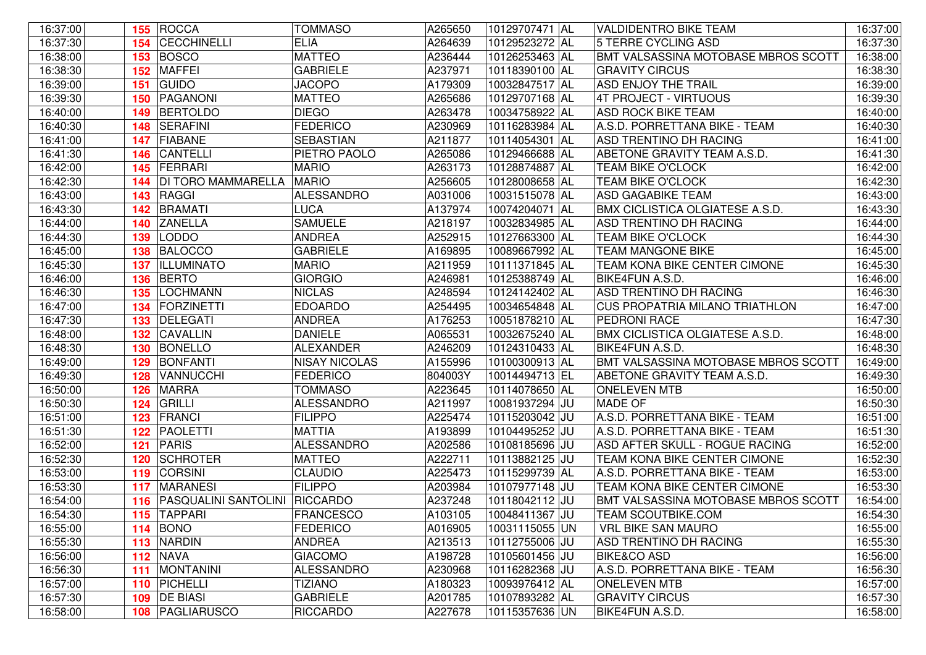| 16:37:00 |     | 155 ROCCA                         | <b>TOMMASO</b>       | A265650 | 10129707471 AL | VALDIDENTRO BIKE TEAM                  | 16:37:00 |
|----------|-----|-----------------------------------|----------------------|---------|----------------|----------------------------------------|----------|
| 16:37:30 | 154 | <b>CECCHINELLI</b>                | <b>ELIA</b>          | A264639 | 10129523272 AL | 5 TERRE CYCLING ASD                    | 16:37:30 |
| 16:38:00 | 153 | BOSCO                             | <b>MATTEO</b>        | A236444 | 10126253463 AL | BMT VALSASSINA MOTOBASE MBROS SCOTT    | 16:38:00 |
| 16:38:30 | 152 | <b>MAFFEI</b>                     | <b>GABRIELE</b>      | A237971 | 10118390100 AL | <b>GRAVITY CIRCUS</b>                  | 16:38:30 |
| 16:39:00 | 151 | <b>GUIDO</b>                      | <b>JACOPO</b>        | A179309 | 10032847517 AL | ASD ENJOY THE TRAIL                    | 16:39:00 |
| 16:39:30 | 150 | PAGANONI                          | <b>MATTEO</b>        | A265686 | 10129707168 AL | 4T PROJECT - VIRTUOUS                  | 16:39:30 |
| 16:40:00 | 149 | <b>BERTOLDO</b>                   | <b>DIEGO</b>         | A263478 | 10034758922 AL | <b>ASD ROCK BIKE TEAM</b>              | 16:40:00 |
| 16:40:30 | 148 | SERAFINI                          | <b>FEDERICO</b>      | A230969 | 10116283984 AL | A.S.D. PORRETTANA BIKE - TEAM          | 16:40:30 |
| 16:41:00 | 147 | <b>FIABANE</b>                    | <b>SEBASTIAN</b>     | A211877 | 10114054301 AL | ASD TRENTINO DH RACING                 | 16:41:00 |
| 16:41:30 | 146 | <b>CANTELLI</b>                   | PIETRO PAOLO         | A265086 | 10129466688 AL | ABETONE GRAVITY TEAM A.S.D.            | 16:41:30 |
| 16:42:00 | 145 | FERRARI                           | <b>MARIO</b>         | A263173 | 10128874887 AL | <b>TEAM BIKE O'CLOCK</b>               | 16:42:00 |
| 16:42:30 | 144 | <b>DI TORO MAMMARELLA</b>         | <b>MARIO</b>         | A256605 | 10128008658 AL | <b>TEAM BIKE O'CLOCK</b>               | 16:42:30 |
| 16:43:00 | 143 | RAGGI                             | <b>ALESSANDRO</b>    | A031006 | 10031515078 AL | ASD GAGABIKE TEAM                      | 16:43:00 |
| 16:43:30 | 142 | BRAMATI                           | <b>LUCA</b>          | A137974 | 10074204071 AL | <b>BMX CICLISTICA OLGIATESE A.S.D.</b> | 16:43:30 |
| 16:44:00 | 140 | <b>ZANELLA</b>                    | <b>SAMUELE</b>       | A218197 | 10032834985 AL | ASD TRENTINO DH RACING                 | 16:44:00 |
| 16:44:30 | 139 | <b>LODDO</b>                      | <b>ANDREA</b>        | A252915 | 10127663300 AL | <b>TEAM BIKE O'CLOCK</b>               | 16:44:30 |
| 16:45:00 | 138 | <b>BALOCCO</b>                    | <b>GABRIELE</b>      | A169895 | 10089667992 AL | <b>TEAM MANGONE BIKE</b>               | 16:45:00 |
| 16:45:30 | 137 | ILLUMINATO                        | <b>MARIO</b>         | A211959 | 10111371845 AL | TEAM KONA BIKE CENTER CIMONE           | 16:45:30 |
| 16:46:00 | 136 | <b>BERTO</b>                      | <b>GIORGIO</b>       | A246981 | 10125388749 AL | <b>BIKE4FUN A.S.D.</b>                 | 16:46:00 |
| 16:46:30 | 135 | <b>LOCHMANN</b>                   | <b>NICLAS</b>        | A248594 | 10124142402 AL | <b>ASD TRENTINO DH RACING</b>          | 16:46:30 |
| 16:47:00 | 134 | FORZINETTI                        | <b>EDOARDO</b>       | A254495 | 10034654848 AL | <b>CUS PROPATRIA MILANO TRIATHLON</b>  | 16:47:00 |
| 16:47:30 | 133 | <b>DELEGATI</b>                   | <b>ANDREA</b>        | A176253 | 10051878210 AL | PEDRONI RACE                           | 16:47:30 |
| 16:48:00 | 132 | <b>CAVALLIN</b>                   | <b>DANIELE</b>       | A065531 | 10032675240 AL | <b>BMX CICLISTICA OLGIATESE A.S.D.</b> | 16:48:00 |
| 16:48:30 | 130 | <b>BONELLO</b>                    | <b>ALEXANDER</b>     | A246209 | 10124310433 AL | <b>BIKE4FUN A.S.D.</b>                 | 16:48:30 |
| 16:49:00 | 129 | <b>BONFANTI</b>                   | <b>NISAY NICOLAS</b> | A155996 | 10100300913 AL | BMT VALSASSINA MOTOBASE MBROS SCOTT    | 16:49:00 |
| 16:49:30 | 128 | <b>VANNUCCHI</b>                  | <b>FEDERICO</b>      | 804003Y | 10014494713 EL | ABETONE GRAVITY TEAM A.S.D.            | 16:49:30 |
| 16:50:00 | 126 | <b>MARRA</b>                      | <b>TOMMASO</b>       | A223645 | 10114078650 AL | <b>ONELEVEN MTB</b>                    | 16:50:00 |
| 16:50:30 | 124 | <b>GRILLI</b>                     | <b>ALESSANDRO</b>    | A211997 | 10081937294 JU | <b>MADE OF</b>                         | 16:50:30 |
| 16:51:00 | 123 | FRANCI                            | <b>FILIPPO</b>       | A225474 | 10115203042 JU | A.S.D. PORRETTANA BIKE - TEAM          | 16:51:00 |
| 16:51:30 | 122 | <b>PAOLETTI</b>                   | <b>MATTIA</b>        | A193899 | 10104495252 JU | A.S.D. PORRETTANA BIKE - TEAM          | 16:51:30 |
| 16:52:00 | 121 | PARIS                             | <b>ALESSANDRO</b>    | A202586 | 10108185696 JU | ASD AFTER SKULL - ROGUE RACING         | 16:52:00 |
| 16:52:30 | 120 | <b>SCHROTER</b>                   | <b>MATTEO</b>        | A222711 | 10113882125 JU | TEAM KONA BIKE CENTER CIMONE           | 16:52:30 |
| 16:53:00 | 119 | <b>CORSINI</b>                    | <b>CLAUDIO</b>       | A225473 | 10115299739 AL | A.S.D. PORRETTANA BIKE - TEAM          | 16:53:00 |
| 16:53:30 | 117 | <b>MARANESI</b>                   | <b>FILIPPO</b>       | A203984 | 10107977148 JU | TEAM KONA BIKE CENTER CIMONE           | 16:53:30 |
| 16:54:00 |     | 116 PASQUALINI SANTOLINI RICCARDO |                      | A237248 | 10118042112 JU | BMT VALSASSINA MOTOBASE MBROS SCOTT    | 16:54:00 |
| 16:54:30 |     | 115 TAPPARI                       | <b>FRANCESCO</b>     | A103105 | 10048411367 JU | <b>TEAM SCOUTBIKE.COM</b>              | 16:54:30 |
| 16:55:00 |     | <b>114 BONO</b>                   | <b>FEDERICO</b>      | A016905 | 10031115055 UN | <b>VRL BIKE SAN MAURO</b>              | 16:55:00 |
| 16:55:30 |     | 113 NARDIN                        | <b>ANDREA</b>        | A213513 | 10112755006 JU | ASD TRENTINO DH RACING                 | 16:55:30 |
| 16:56:00 |     | <b>112 NAVA</b>                   | <b>GIACOMO</b>       | A198728 | 10105601456 JU | <b>BIKE&amp;CO ASD</b>                 | 16:56:00 |
| 16:56:30 | 111 | MONTANINI                         | <b>ALESSANDRO</b>    | A230968 | 10116282368 JU | A.S.D. PORRETTANA BIKE - TEAM          | 16:56:30 |
| 16:57:00 |     | 110 PICHELLI                      | <b>TIZIANO</b>       | A180323 | 10093976412 AL | <b>ONELEVEN MTB</b>                    | 16:57:00 |
| 16:57:30 | 109 | <b>DE BIASI</b>                   | <b>GABRIELE</b>      | A201785 | 10107893282 AL | <b>GRAVITY CIRCUS</b>                  | 16:57:30 |
| 16:58:00 |     | 108   PAGLIARUSCO                 | <b>RICCARDO</b>      | A227678 | 10115357636 UN | <b>BIKE4FUN A.S.D.</b>                 | 16:58:00 |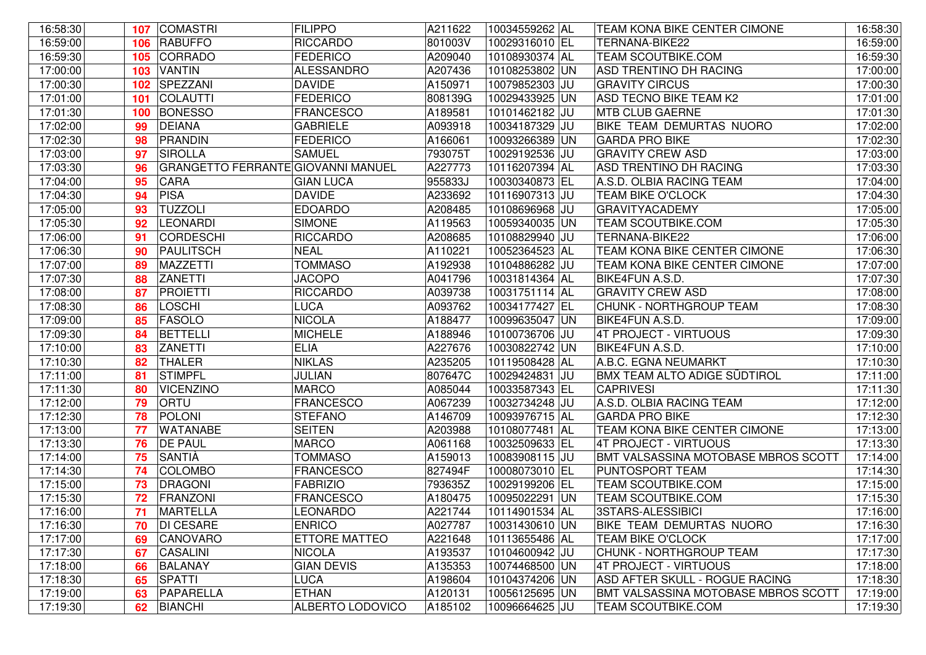| 106 RABUFFO<br><b>RICCARDO</b><br>801003V<br>TERNANA-BIKE22<br>16:59:30<br><b>FEDERICO</b><br>A209040<br>CORRADO<br>10108930374 AL<br><b>TEAM SCOUTBIKE.COM</b><br>105<br>17:00:00<br><b>VANTIN</b><br>A207436<br><b>ALESSANDRO</b><br>10108253802 UN<br>ASD TRENTINO DH RACING<br>103<br>17:00:30<br>SPEZZANI<br><b>DAVIDE</b><br>A150971<br>10079852303 JU<br><b>GRAVITY CIRCUS</b><br>102<br>17:01:00<br><b>FEDERICO</b><br>COLAUTTI<br>808139G<br>10029433925 UN<br><b>ASD TECNO BIKE TEAM K2</b><br>101<br>17:01:30<br>10101462182 JU<br><b>MTB CLUB GAERNE</b><br><b>BONESSO</b><br><b>FRANCESCO</b><br>A189581<br>100<br>17:02:00<br><b>DEIANA</b><br><b>GABRIELE</b><br>A093918<br>10034187329 JU<br>BIKE TEAM DEMURTAS NUORO<br>99<br>17:02:30<br>PRANDIN<br><b>FEDERICO</b><br>A166061<br>10093266389 UN<br><b>GARDA PRO BIKE</b><br>98<br>17:03:00<br><b>SAMUEL</b><br>793075T<br><b>GRAVITY CREW ASD</b><br>SIROLLA<br>10029192536 JU<br>97<br>17:03:30<br>10116207394 AL<br>GRANGETTO FERRANTE GIOVANNI MANUEL<br>A227773<br>ASD TRENTINO DH RACING<br>96<br>17:04:00<br>CARA<br><b>GIAN LUCA</b><br>955833J<br>10030340873 EL<br>95<br>A.S.D. OLBIA RACING TEAM<br>17:04:30<br>PISA<br><b>DAVIDE</b><br>A233692<br>10116907313 JU<br>94<br><b>TEAM BIKE O'CLOCK</b><br><b>TUZZOLI</b><br><b>GRAVITYACADEMY</b><br>17:05:00<br><b>EDOARDO</b><br>A208485<br>10108696968 JU<br>93<br>17:05:30<br>92<br><b>LEONARDI</b><br><b>SIMONE</b><br>A119563<br>10059340035 UN<br>TEAM SCOUTBIKE.COM<br>17:06:00<br><b>CORDESCHI</b><br><b>RICCARDO</b><br>A208685<br>10108829940 JU<br>TERNANA-BIKE22<br>91<br><b>NEAL</b><br>10052364523 AL<br>17:06:30<br>PAULITSCH<br>A110221<br>TEAM KONA BIKE CENTER CIMONE<br>90<br>17:07:00<br>MAZZETTI<br><b>TOMMASO</b><br>A192938<br>10104886282 JU<br>TEAM KONA BIKE CENTER CIMONE<br>89<br><b>JACOPO</b><br>17:07:30<br>ZANETTI<br>10031814364 AL<br>BIKE4FUN A.S.D.<br>A041796<br>88<br>17:08:00<br><b>RICCARDO</b><br>PROIETTI<br>A039738<br>10031751114 AL<br><b>GRAVITY CREW ASD</b><br>87<br>17:08:30<br>LOSCHI<br><b>LUCA</b><br>A093762<br>10034177427 EL<br>CHUNK - NORTHGROUP TEAM<br>86<br><b>NICOLA</b><br>17:09:00<br>FASOLO<br>A188477<br>10099635047 UN<br>BIKE4FUN A.S.D.<br>85<br><b>MICHELE</b><br><b>BETTELLI</b><br>17:09:30<br>A188946<br>10100736706 JU<br>4T PROJECT - VIRTUOUS<br>84<br>17:10:00<br>10030822742 UN<br>83<br>ZANETTI<br><b>ELIA</b><br>A227676<br>BIKE4FUN A.S.D.<br>A235205<br>17:10:30<br><b>THALER</b><br><b>NIKLAS</b><br>10119508428 AL<br>A.B.C. EGNA NEUMARKT<br>82<br>17:11:00<br><b>STIMPFL</b><br>JULIAN<br>807647C<br>10029424831 JU<br><b>BMX TEAM ALTO ADIGE SÜDTIROL</b><br>81<br><b>MARCO</b><br><b>CAPRIVESI</b><br>17:11:30<br>80<br><b>VICENZINO</b><br>A085044<br>10033587343 EL<br>17:12:00<br><b>FRANCESCO</b><br>A.S.D. OLBIA RACING TEAM<br>79<br><b>ORTU</b><br>A067239<br>10032734248 JU<br>17:12:30<br><b>STEFANO</b><br>A146709<br>10093976715 AL<br>POLONI<br><b>GARDA PRO BIKE</b><br>78<br>17:13:00<br><b>SEITEN</b><br><b>WATANABE</b><br>A203988<br>10108077481 AL<br>TEAM KONA BIKE CENTER CIMONE<br>77<br>17:13:30<br><b>DE PAUL</b><br><b>MARCO</b><br>A061168<br>10032509633 EL<br>4T PROJECT - VIRTUOUS<br>76<br>17:14:00<br>SANTIÀ<br><b>TOMMASO</b><br>10083908115 JU<br>BMT VALSASSINA MOTOBASE MBROS SCOTT<br>A159013<br>75<br>17:14:30<br><b>FRANCESCO</b><br>827494F<br>10008073010 EL<br><b>COLOMBO</b><br>PUNTOSPORT TEAM<br>74<br>17:15:00<br><b>TEAM SCOUTBIKE.COM</b><br>DRAGONI<br><b>FABRIZIO</b><br>793635Z<br>10029199206 EL<br>73<br>17:15:30<br>FRANZONI<br><b>FRANCESCO</b><br>A180475<br>10095022291 UN<br><b>TEAM SCOUTBIKE.COM</b><br>72<br>MARTELLA<br><b>LEONARDO</b><br>A221744<br>10114901534 AL<br>3STARS-ALESSIBICI<br>17:16:00<br>71<br>17:16:30<br>10031430610 UN<br><b>DI CESARE</b><br><b>ENRICO</b><br>A027787<br>BIKE TEAM DEMURTAS NUORO<br>70<br>10113655486 AL<br>17:17:00<br>CANOVARO<br>ETTORE MATTEO<br>A221648<br><b>TEAM BIKE O'CLOCK</b><br>69<br>17:17:30<br><b>CASALINI</b><br><b>NICOLA</b><br>A193537<br>10104600942 JU<br>CHUNK - NORTHGROUP TEAM<br>67<br>17:18:00<br><b>GIAN DEVIS</b><br>A135353<br>10074468500 UN<br>4T PROJECT - VIRTUOUS<br>66<br><b>BALANAY</b><br>17:18:30<br><b>SPATTI</b><br><b>LUCA</b><br>A198604<br>10104374206 UN<br>ASD AFTER SKULL - ROGUE RACING<br>65<br>17:19:00<br>PAPARELLA<br><b>ETHAN</b><br>A120131<br>10056125695 UN<br>BMT VALSASSINA MOTOBASE MBROS SCOTT<br>63<br>17:19:30<br><b>BIANCHI</b><br><b>ALBERTO LODOVICO</b><br>A185102<br>10096664625 JU<br><b>TEAM SCOUTBIKE.COM</b><br>62 | 16:58:30 | 107 COMASTRI | <b>FILIPPO</b> | A211622 | 10034559262 AL | TEAM KONA BIKE CENTER CIMONE | 16:58:30 |
|--------------------------------------------------------------------------------------------------------------------------------------------------------------------------------------------------------------------------------------------------------------------------------------------------------------------------------------------------------------------------------------------------------------------------------------------------------------------------------------------------------------------------------------------------------------------------------------------------------------------------------------------------------------------------------------------------------------------------------------------------------------------------------------------------------------------------------------------------------------------------------------------------------------------------------------------------------------------------------------------------------------------------------------------------------------------------------------------------------------------------------------------------------------------------------------------------------------------------------------------------------------------------------------------------------------------------------------------------------------------------------------------------------------------------------------------------------------------------------------------------------------------------------------------------------------------------------------------------------------------------------------------------------------------------------------------------------------------------------------------------------------------------------------------------------------------------------------------------------------------------------------------------------------------------------------------------------------------------------------------------------------------------------------------------------------------------------------------------------------------------------------------------------------------------------------------------------------------------------------------------------------------------------------------------------------------------------------------------------------------------------------------------------------------------------------------------------------------------------------------------------------------------------------------------------------------------------------------------------------------------------------------------------------------------------------------------------------------------------------------------------------------------------------------------------------------------------------------------------------------------------------------------------------------------------------------------------------------------------------------------------------------------------------------------------------------------------------------------------------------------------------------------------------------------------------------------------------------------------------------------------------------------------------------------------------------------------------------------------------------------------------------------------------------------------------------------------------------------------------------------------------------------------------------------------------------------------------------------------------------------------------------------------------------------------------------------------------------------------------------------------------------------------------------------------------------------------------------------------------------------------------------------------------------------------------------------------------------------------------------------------------------------------------------------------------------------------------------------------------------------------------------------------------------------------------------------------------------------------------------------------------------------------------------------------------------------------------------------------------------------------------------------------------------------------------------------------------------------------------------------------------------------------------------------------------------------------------------------------------|----------|--------------|----------------|---------|----------------|------------------------------|----------|
|                                                                                                                                                                                                                                                                                                                                                                                                                                                                                                                                                                                                                                                                                                                                                                                                                                                                                                                                                                                                                                                                                                                                                                                                                                                                                                                                                                                                                                                                                                                                                                                                                                                                                                                                                                                                                                                                                                                                                                                                                                                                                                                                                                                                                                                                                                                                                                                                                                                                                                                                                                                                                                                                                                                                                                                                                                                                                                                                                                                                                                                                                                                                                                                                                                                                                                                                                                                                                                                                                                                                                                                                                                                                                                                                                                                                                                                                                                                                                                                                                                                                                                                                                                                                                                                                                                                                                                                                                                                                                                                                                                                                              | 16:59:00 |              |                |         | 10029316010 EL |                              | 16:59:00 |
|                                                                                                                                                                                                                                                                                                                                                                                                                                                                                                                                                                                                                                                                                                                                                                                                                                                                                                                                                                                                                                                                                                                                                                                                                                                                                                                                                                                                                                                                                                                                                                                                                                                                                                                                                                                                                                                                                                                                                                                                                                                                                                                                                                                                                                                                                                                                                                                                                                                                                                                                                                                                                                                                                                                                                                                                                                                                                                                                                                                                                                                                                                                                                                                                                                                                                                                                                                                                                                                                                                                                                                                                                                                                                                                                                                                                                                                                                                                                                                                                                                                                                                                                                                                                                                                                                                                                                                                                                                                                                                                                                                                                              |          |              |                |         |                |                              | 16:59:30 |
|                                                                                                                                                                                                                                                                                                                                                                                                                                                                                                                                                                                                                                                                                                                                                                                                                                                                                                                                                                                                                                                                                                                                                                                                                                                                                                                                                                                                                                                                                                                                                                                                                                                                                                                                                                                                                                                                                                                                                                                                                                                                                                                                                                                                                                                                                                                                                                                                                                                                                                                                                                                                                                                                                                                                                                                                                                                                                                                                                                                                                                                                                                                                                                                                                                                                                                                                                                                                                                                                                                                                                                                                                                                                                                                                                                                                                                                                                                                                                                                                                                                                                                                                                                                                                                                                                                                                                                                                                                                                                                                                                                                                              |          |              |                |         |                |                              | 17:00:00 |
|                                                                                                                                                                                                                                                                                                                                                                                                                                                                                                                                                                                                                                                                                                                                                                                                                                                                                                                                                                                                                                                                                                                                                                                                                                                                                                                                                                                                                                                                                                                                                                                                                                                                                                                                                                                                                                                                                                                                                                                                                                                                                                                                                                                                                                                                                                                                                                                                                                                                                                                                                                                                                                                                                                                                                                                                                                                                                                                                                                                                                                                                                                                                                                                                                                                                                                                                                                                                                                                                                                                                                                                                                                                                                                                                                                                                                                                                                                                                                                                                                                                                                                                                                                                                                                                                                                                                                                                                                                                                                                                                                                                                              |          |              |                |         |                |                              | 17:00:30 |
|                                                                                                                                                                                                                                                                                                                                                                                                                                                                                                                                                                                                                                                                                                                                                                                                                                                                                                                                                                                                                                                                                                                                                                                                                                                                                                                                                                                                                                                                                                                                                                                                                                                                                                                                                                                                                                                                                                                                                                                                                                                                                                                                                                                                                                                                                                                                                                                                                                                                                                                                                                                                                                                                                                                                                                                                                                                                                                                                                                                                                                                                                                                                                                                                                                                                                                                                                                                                                                                                                                                                                                                                                                                                                                                                                                                                                                                                                                                                                                                                                                                                                                                                                                                                                                                                                                                                                                                                                                                                                                                                                                                                              |          |              |                |         |                |                              | 17:01:00 |
|                                                                                                                                                                                                                                                                                                                                                                                                                                                                                                                                                                                                                                                                                                                                                                                                                                                                                                                                                                                                                                                                                                                                                                                                                                                                                                                                                                                                                                                                                                                                                                                                                                                                                                                                                                                                                                                                                                                                                                                                                                                                                                                                                                                                                                                                                                                                                                                                                                                                                                                                                                                                                                                                                                                                                                                                                                                                                                                                                                                                                                                                                                                                                                                                                                                                                                                                                                                                                                                                                                                                                                                                                                                                                                                                                                                                                                                                                                                                                                                                                                                                                                                                                                                                                                                                                                                                                                                                                                                                                                                                                                                                              |          |              |                |         |                |                              | 17:01:30 |
|                                                                                                                                                                                                                                                                                                                                                                                                                                                                                                                                                                                                                                                                                                                                                                                                                                                                                                                                                                                                                                                                                                                                                                                                                                                                                                                                                                                                                                                                                                                                                                                                                                                                                                                                                                                                                                                                                                                                                                                                                                                                                                                                                                                                                                                                                                                                                                                                                                                                                                                                                                                                                                                                                                                                                                                                                                                                                                                                                                                                                                                                                                                                                                                                                                                                                                                                                                                                                                                                                                                                                                                                                                                                                                                                                                                                                                                                                                                                                                                                                                                                                                                                                                                                                                                                                                                                                                                                                                                                                                                                                                                                              |          |              |                |         |                |                              | 17:02:00 |
|                                                                                                                                                                                                                                                                                                                                                                                                                                                                                                                                                                                                                                                                                                                                                                                                                                                                                                                                                                                                                                                                                                                                                                                                                                                                                                                                                                                                                                                                                                                                                                                                                                                                                                                                                                                                                                                                                                                                                                                                                                                                                                                                                                                                                                                                                                                                                                                                                                                                                                                                                                                                                                                                                                                                                                                                                                                                                                                                                                                                                                                                                                                                                                                                                                                                                                                                                                                                                                                                                                                                                                                                                                                                                                                                                                                                                                                                                                                                                                                                                                                                                                                                                                                                                                                                                                                                                                                                                                                                                                                                                                                                              |          |              |                |         |                |                              | 17:02:30 |
|                                                                                                                                                                                                                                                                                                                                                                                                                                                                                                                                                                                                                                                                                                                                                                                                                                                                                                                                                                                                                                                                                                                                                                                                                                                                                                                                                                                                                                                                                                                                                                                                                                                                                                                                                                                                                                                                                                                                                                                                                                                                                                                                                                                                                                                                                                                                                                                                                                                                                                                                                                                                                                                                                                                                                                                                                                                                                                                                                                                                                                                                                                                                                                                                                                                                                                                                                                                                                                                                                                                                                                                                                                                                                                                                                                                                                                                                                                                                                                                                                                                                                                                                                                                                                                                                                                                                                                                                                                                                                                                                                                                                              |          |              |                |         |                |                              | 17:03:00 |
|                                                                                                                                                                                                                                                                                                                                                                                                                                                                                                                                                                                                                                                                                                                                                                                                                                                                                                                                                                                                                                                                                                                                                                                                                                                                                                                                                                                                                                                                                                                                                                                                                                                                                                                                                                                                                                                                                                                                                                                                                                                                                                                                                                                                                                                                                                                                                                                                                                                                                                                                                                                                                                                                                                                                                                                                                                                                                                                                                                                                                                                                                                                                                                                                                                                                                                                                                                                                                                                                                                                                                                                                                                                                                                                                                                                                                                                                                                                                                                                                                                                                                                                                                                                                                                                                                                                                                                                                                                                                                                                                                                                                              |          |              |                |         |                |                              | 17:03:30 |
|                                                                                                                                                                                                                                                                                                                                                                                                                                                                                                                                                                                                                                                                                                                                                                                                                                                                                                                                                                                                                                                                                                                                                                                                                                                                                                                                                                                                                                                                                                                                                                                                                                                                                                                                                                                                                                                                                                                                                                                                                                                                                                                                                                                                                                                                                                                                                                                                                                                                                                                                                                                                                                                                                                                                                                                                                                                                                                                                                                                                                                                                                                                                                                                                                                                                                                                                                                                                                                                                                                                                                                                                                                                                                                                                                                                                                                                                                                                                                                                                                                                                                                                                                                                                                                                                                                                                                                                                                                                                                                                                                                                                              |          |              |                |         |                |                              | 17:04:00 |
|                                                                                                                                                                                                                                                                                                                                                                                                                                                                                                                                                                                                                                                                                                                                                                                                                                                                                                                                                                                                                                                                                                                                                                                                                                                                                                                                                                                                                                                                                                                                                                                                                                                                                                                                                                                                                                                                                                                                                                                                                                                                                                                                                                                                                                                                                                                                                                                                                                                                                                                                                                                                                                                                                                                                                                                                                                                                                                                                                                                                                                                                                                                                                                                                                                                                                                                                                                                                                                                                                                                                                                                                                                                                                                                                                                                                                                                                                                                                                                                                                                                                                                                                                                                                                                                                                                                                                                                                                                                                                                                                                                                                              |          |              |                |         |                |                              | 17:04:30 |
|                                                                                                                                                                                                                                                                                                                                                                                                                                                                                                                                                                                                                                                                                                                                                                                                                                                                                                                                                                                                                                                                                                                                                                                                                                                                                                                                                                                                                                                                                                                                                                                                                                                                                                                                                                                                                                                                                                                                                                                                                                                                                                                                                                                                                                                                                                                                                                                                                                                                                                                                                                                                                                                                                                                                                                                                                                                                                                                                                                                                                                                                                                                                                                                                                                                                                                                                                                                                                                                                                                                                                                                                                                                                                                                                                                                                                                                                                                                                                                                                                                                                                                                                                                                                                                                                                                                                                                                                                                                                                                                                                                                                              |          |              |                |         |                |                              | 17:05:00 |
|                                                                                                                                                                                                                                                                                                                                                                                                                                                                                                                                                                                                                                                                                                                                                                                                                                                                                                                                                                                                                                                                                                                                                                                                                                                                                                                                                                                                                                                                                                                                                                                                                                                                                                                                                                                                                                                                                                                                                                                                                                                                                                                                                                                                                                                                                                                                                                                                                                                                                                                                                                                                                                                                                                                                                                                                                                                                                                                                                                                                                                                                                                                                                                                                                                                                                                                                                                                                                                                                                                                                                                                                                                                                                                                                                                                                                                                                                                                                                                                                                                                                                                                                                                                                                                                                                                                                                                                                                                                                                                                                                                                                              |          |              |                |         |                |                              | 17:05:30 |
|                                                                                                                                                                                                                                                                                                                                                                                                                                                                                                                                                                                                                                                                                                                                                                                                                                                                                                                                                                                                                                                                                                                                                                                                                                                                                                                                                                                                                                                                                                                                                                                                                                                                                                                                                                                                                                                                                                                                                                                                                                                                                                                                                                                                                                                                                                                                                                                                                                                                                                                                                                                                                                                                                                                                                                                                                                                                                                                                                                                                                                                                                                                                                                                                                                                                                                                                                                                                                                                                                                                                                                                                                                                                                                                                                                                                                                                                                                                                                                                                                                                                                                                                                                                                                                                                                                                                                                                                                                                                                                                                                                                                              |          |              |                |         |                |                              | 17:06:00 |
|                                                                                                                                                                                                                                                                                                                                                                                                                                                                                                                                                                                                                                                                                                                                                                                                                                                                                                                                                                                                                                                                                                                                                                                                                                                                                                                                                                                                                                                                                                                                                                                                                                                                                                                                                                                                                                                                                                                                                                                                                                                                                                                                                                                                                                                                                                                                                                                                                                                                                                                                                                                                                                                                                                                                                                                                                                                                                                                                                                                                                                                                                                                                                                                                                                                                                                                                                                                                                                                                                                                                                                                                                                                                                                                                                                                                                                                                                                                                                                                                                                                                                                                                                                                                                                                                                                                                                                                                                                                                                                                                                                                                              |          |              |                |         |                |                              | 17:06:30 |
|                                                                                                                                                                                                                                                                                                                                                                                                                                                                                                                                                                                                                                                                                                                                                                                                                                                                                                                                                                                                                                                                                                                                                                                                                                                                                                                                                                                                                                                                                                                                                                                                                                                                                                                                                                                                                                                                                                                                                                                                                                                                                                                                                                                                                                                                                                                                                                                                                                                                                                                                                                                                                                                                                                                                                                                                                                                                                                                                                                                                                                                                                                                                                                                                                                                                                                                                                                                                                                                                                                                                                                                                                                                                                                                                                                                                                                                                                                                                                                                                                                                                                                                                                                                                                                                                                                                                                                                                                                                                                                                                                                                                              |          |              |                |         |                |                              | 17:07:00 |
|                                                                                                                                                                                                                                                                                                                                                                                                                                                                                                                                                                                                                                                                                                                                                                                                                                                                                                                                                                                                                                                                                                                                                                                                                                                                                                                                                                                                                                                                                                                                                                                                                                                                                                                                                                                                                                                                                                                                                                                                                                                                                                                                                                                                                                                                                                                                                                                                                                                                                                                                                                                                                                                                                                                                                                                                                                                                                                                                                                                                                                                                                                                                                                                                                                                                                                                                                                                                                                                                                                                                                                                                                                                                                                                                                                                                                                                                                                                                                                                                                                                                                                                                                                                                                                                                                                                                                                                                                                                                                                                                                                                                              |          |              |                |         |                |                              | 17:07:30 |
|                                                                                                                                                                                                                                                                                                                                                                                                                                                                                                                                                                                                                                                                                                                                                                                                                                                                                                                                                                                                                                                                                                                                                                                                                                                                                                                                                                                                                                                                                                                                                                                                                                                                                                                                                                                                                                                                                                                                                                                                                                                                                                                                                                                                                                                                                                                                                                                                                                                                                                                                                                                                                                                                                                                                                                                                                                                                                                                                                                                                                                                                                                                                                                                                                                                                                                                                                                                                                                                                                                                                                                                                                                                                                                                                                                                                                                                                                                                                                                                                                                                                                                                                                                                                                                                                                                                                                                                                                                                                                                                                                                                                              |          |              |                |         |                |                              | 17:08:00 |
|                                                                                                                                                                                                                                                                                                                                                                                                                                                                                                                                                                                                                                                                                                                                                                                                                                                                                                                                                                                                                                                                                                                                                                                                                                                                                                                                                                                                                                                                                                                                                                                                                                                                                                                                                                                                                                                                                                                                                                                                                                                                                                                                                                                                                                                                                                                                                                                                                                                                                                                                                                                                                                                                                                                                                                                                                                                                                                                                                                                                                                                                                                                                                                                                                                                                                                                                                                                                                                                                                                                                                                                                                                                                                                                                                                                                                                                                                                                                                                                                                                                                                                                                                                                                                                                                                                                                                                                                                                                                                                                                                                                                              |          |              |                |         |                |                              | 17:08:30 |
|                                                                                                                                                                                                                                                                                                                                                                                                                                                                                                                                                                                                                                                                                                                                                                                                                                                                                                                                                                                                                                                                                                                                                                                                                                                                                                                                                                                                                                                                                                                                                                                                                                                                                                                                                                                                                                                                                                                                                                                                                                                                                                                                                                                                                                                                                                                                                                                                                                                                                                                                                                                                                                                                                                                                                                                                                                                                                                                                                                                                                                                                                                                                                                                                                                                                                                                                                                                                                                                                                                                                                                                                                                                                                                                                                                                                                                                                                                                                                                                                                                                                                                                                                                                                                                                                                                                                                                                                                                                                                                                                                                                                              |          |              |                |         |                |                              | 17:09:00 |
|                                                                                                                                                                                                                                                                                                                                                                                                                                                                                                                                                                                                                                                                                                                                                                                                                                                                                                                                                                                                                                                                                                                                                                                                                                                                                                                                                                                                                                                                                                                                                                                                                                                                                                                                                                                                                                                                                                                                                                                                                                                                                                                                                                                                                                                                                                                                                                                                                                                                                                                                                                                                                                                                                                                                                                                                                                                                                                                                                                                                                                                                                                                                                                                                                                                                                                                                                                                                                                                                                                                                                                                                                                                                                                                                                                                                                                                                                                                                                                                                                                                                                                                                                                                                                                                                                                                                                                                                                                                                                                                                                                                                              |          |              |                |         |                |                              | 17:09:30 |
|                                                                                                                                                                                                                                                                                                                                                                                                                                                                                                                                                                                                                                                                                                                                                                                                                                                                                                                                                                                                                                                                                                                                                                                                                                                                                                                                                                                                                                                                                                                                                                                                                                                                                                                                                                                                                                                                                                                                                                                                                                                                                                                                                                                                                                                                                                                                                                                                                                                                                                                                                                                                                                                                                                                                                                                                                                                                                                                                                                                                                                                                                                                                                                                                                                                                                                                                                                                                                                                                                                                                                                                                                                                                                                                                                                                                                                                                                                                                                                                                                                                                                                                                                                                                                                                                                                                                                                                                                                                                                                                                                                                                              |          |              |                |         |                |                              | 17:10:00 |
|                                                                                                                                                                                                                                                                                                                                                                                                                                                                                                                                                                                                                                                                                                                                                                                                                                                                                                                                                                                                                                                                                                                                                                                                                                                                                                                                                                                                                                                                                                                                                                                                                                                                                                                                                                                                                                                                                                                                                                                                                                                                                                                                                                                                                                                                                                                                                                                                                                                                                                                                                                                                                                                                                                                                                                                                                                                                                                                                                                                                                                                                                                                                                                                                                                                                                                                                                                                                                                                                                                                                                                                                                                                                                                                                                                                                                                                                                                                                                                                                                                                                                                                                                                                                                                                                                                                                                                                                                                                                                                                                                                                                              |          |              |                |         |                |                              | 17:10:30 |
|                                                                                                                                                                                                                                                                                                                                                                                                                                                                                                                                                                                                                                                                                                                                                                                                                                                                                                                                                                                                                                                                                                                                                                                                                                                                                                                                                                                                                                                                                                                                                                                                                                                                                                                                                                                                                                                                                                                                                                                                                                                                                                                                                                                                                                                                                                                                                                                                                                                                                                                                                                                                                                                                                                                                                                                                                                                                                                                                                                                                                                                                                                                                                                                                                                                                                                                                                                                                                                                                                                                                                                                                                                                                                                                                                                                                                                                                                                                                                                                                                                                                                                                                                                                                                                                                                                                                                                                                                                                                                                                                                                                                              |          |              |                |         |                |                              | 17:11:00 |
|                                                                                                                                                                                                                                                                                                                                                                                                                                                                                                                                                                                                                                                                                                                                                                                                                                                                                                                                                                                                                                                                                                                                                                                                                                                                                                                                                                                                                                                                                                                                                                                                                                                                                                                                                                                                                                                                                                                                                                                                                                                                                                                                                                                                                                                                                                                                                                                                                                                                                                                                                                                                                                                                                                                                                                                                                                                                                                                                                                                                                                                                                                                                                                                                                                                                                                                                                                                                                                                                                                                                                                                                                                                                                                                                                                                                                                                                                                                                                                                                                                                                                                                                                                                                                                                                                                                                                                                                                                                                                                                                                                                                              |          |              |                |         |                |                              | 17:11:30 |
|                                                                                                                                                                                                                                                                                                                                                                                                                                                                                                                                                                                                                                                                                                                                                                                                                                                                                                                                                                                                                                                                                                                                                                                                                                                                                                                                                                                                                                                                                                                                                                                                                                                                                                                                                                                                                                                                                                                                                                                                                                                                                                                                                                                                                                                                                                                                                                                                                                                                                                                                                                                                                                                                                                                                                                                                                                                                                                                                                                                                                                                                                                                                                                                                                                                                                                                                                                                                                                                                                                                                                                                                                                                                                                                                                                                                                                                                                                                                                                                                                                                                                                                                                                                                                                                                                                                                                                                                                                                                                                                                                                                                              |          |              |                |         |                |                              | 17:12:00 |
|                                                                                                                                                                                                                                                                                                                                                                                                                                                                                                                                                                                                                                                                                                                                                                                                                                                                                                                                                                                                                                                                                                                                                                                                                                                                                                                                                                                                                                                                                                                                                                                                                                                                                                                                                                                                                                                                                                                                                                                                                                                                                                                                                                                                                                                                                                                                                                                                                                                                                                                                                                                                                                                                                                                                                                                                                                                                                                                                                                                                                                                                                                                                                                                                                                                                                                                                                                                                                                                                                                                                                                                                                                                                                                                                                                                                                                                                                                                                                                                                                                                                                                                                                                                                                                                                                                                                                                                                                                                                                                                                                                                                              |          |              |                |         |                |                              | 17:12:30 |
|                                                                                                                                                                                                                                                                                                                                                                                                                                                                                                                                                                                                                                                                                                                                                                                                                                                                                                                                                                                                                                                                                                                                                                                                                                                                                                                                                                                                                                                                                                                                                                                                                                                                                                                                                                                                                                                                                                                                                                                                                                                                                                                                                                                                                                                                                                                                                                                                                                                                                                                                                                                                                                                                                                                                                                                                                                                                                                                                                                                                                                                                                                                                                                                                                                                                                                                                                                                                                                                                                                                                                                                                                                                                                                                                                                                                                                                                                                                                                                                                                                                                                                                                                                                                                                                                                                                                                                                                                                                                                                                                                                                                              |          |              |                |         |                |                              | 17:13:00 |
|                                                                                                                                                                                                                                                                                                                                                                                                                                                                                                                                                                                                                                                                                                                                                                                                                                                                                                                                                                                                                                                                                                                                                                                                                                                                                                                                                                                                                                                                                                                                                                                                                                                                                                                                                                                                                                                                                                                                                                                                                                                                                                                                                                                                                                                                                                                                                                                                                                                                                                                                                                                                                                                                                                                                                                                                                                                                                                                                                                                                                                                                                                                                                                                                                                                                                                                                                                                                                                                                                                                                                                                                                                                                                                                                                                                                                                                                                                                                                                                                                                                                                                                                                                                                                                                                                                                                                                                                                                                                                                                                                                                                              |          |              |                |         |                |                              | 17:13:30 |
|                                                                                                                                                                                                                                                                                                                                                                                                                                                                                                                                                                                                                                                                                                                                                                                                                                                                                                                                                                                                                                                                                                                                                                                                                                                                                                                                                                                                                                                                                                                                                                                                                                                                                                                                                                                                                                                                                                                                                                                                                                                                                                                                                                                                                                                                                                                                                                                                                                                                                                                                                                                                                                                                                                                                                                                                                                                                                                                                                                                                                                                                                                                                                                                                                                                                                                                                                                                                                                                                                                                                                                                                                                                                                                                                                                                                                                                                                                                                                                                                                                                                                                                                                                                                                                                                                                                                                                                                                                                                                                                                                                                                              |          |              |                |         |                |                              | 17:14:00 |
|                                                                                                                                                                                                                                                                                                                                                                                                                                                                                                                                                                                                                                                                                                                                                                                                                                                                                                                                                                                                                                                                                                                                                                                                                                                                                                                                                                                                                                                                                                                                                                                                                                                                                                                                                                                                                                                                                                                                                                                                                                                                                                                                                                                                                                                                                                                                                                                                                                                                                                                                                                                                                                                                                                                                                                                                                                                                                                                                                                                                                                                                                                                                                                                                                                                                                                                                                                                                                                                                                                                                                                                                                                                                                                                                                                                                                                                                                                                                                                                                                                                                                                                                                                                                                                                                                                                                                                                                                                                                                                                                                                                                              |          |              |                |         |                |                              | 17:14:30 |
|                                                                                                                                                                                                                                                                                                                                                                                                                                                                                                                                                                                                                                                                                                                                                                                                                                                                                                                                                                                                                                                                                                                                                                                                                                                                                                                                                                                                                                                                                                                                                                                                                                                                                                                                                                                                                                                                                                                                                                                                                                                                                                                                                                                                                                                                                                                                                                                                                                                                                                                                                                                                                                                                                                                                                                                                                                                                                                                                                                                                                                                                                                                                                                                                                                                                                                                                                                                                                                                                                                                                                                                                                                                                                                                                                                                                                                                                                                                                                                                                                                                                                                                                                                                                                                                                                                                                                                                                                                                                                                                                                                                                              |          |              |                |         |                |                              | 17:15:00 |
|                                                                                                                                                                                                                                                                                                                                                                                                                                                                                                                                                                                                                                                                                                                                                                                                                                                                                                                                                                                                                                                                                                                                                                                                                                                                                                                                                                                                                                                                                                                                                                                                                                                                                                                                                                                                                                                                                                                                                                                                                                                                                                                                                                                                                                                                                                                                                                                                                                                                                                                                                                                                                                                                                                                                                                                                                                                                                                                                                                                                                                                                                                                                                                                                                                                                                                                                                                                                                                                                                                                                                                                                                                                                                                                                                                                                                                                                                                                                                                                                                                                                                                                                                                                                                                                                                                                                                                                                                                                                                                                                                                                                              |          |              |                |         |                |                              | 17:15:30 |
|                                                                                                                                                                                                                                                                                                                                                                                                                                                                                                                                                                                                                                                                                                                                                                                                                                                                                                                                                                                                                                                                                                                                                                                                                                                                                                                                                                                                                                                                                                                                                                                                                                                                                                                                                                                                                                                                                                                                                                                                                                                                                                                                                                                                                                                                                                                                                                                                                                                                                                                                                                                                                                                                                                                                                                                                                                                                                                                                                                                                                                                                                                                                                                                                                                                                                                                                                                                                                                                                                                                                                                                                                                                                                                                                                                                                                                                                                                                                                                                                                                                                                                                                                                                                                                                                                                                                                                                                                                                                                                                                                                                                              |          |              |                |         |                |                              | 17:16:00 |
|                                                                                                                                                                                                                                                                                                                                                                                                                                                                                                                                                                                                                                                                                                                                                                                                                                                                                                                                                                                                                                                                                                                                                                                                                                                                                                                                                                                                                                                                                                                                                                                                                                                                                                                                                                                                                                                                                                                                                                                                                                                                                                                                                                                                                                                                                                                                                                                                                                                                                                                                                                                                                                                                                                                                                                                                                                                                                                                                                                                                                                                                                                                                                                                                                                                                                                                                                                                                                                                                                                                                                                                                                                                                                                                                                                                                                                                                                                                                                                                                                                                                                                                                                                                                                                                                                                                                                                                                                                                                                                                                                                                                              |          |              |                |         |                |                              | 17:16:30 |
|                                                                                                                                                                                                                                                                                                                                                                                                                                                                                                                                                                                                                                                                                                                                                                                                                                                                                                                                                                                                                                                                                                                                                                                                                                                                                                                                                                                                                                                                                                                                                                                                                                                                                                                                                                                                                                                                                                                                                                                                                                                                                                                                                                                                                                                                                                                                                                                                                                                                                                                                                                                                                                                                                                                                                                                                                                                                                                                                                                                                                                                                                                                                                                                                                                                                                                                                                                                                                                                                                                                                                                                                                                                                                                                                                                                                                                                                                                                                                                                                                                                                                                                                                                                                                                                                                                                                                                                                                                                                                                                                                                                                              |          |              |                |         |                |                              | 17:17:00 |
|                                                                                                                                                                                                                                                                                                                                                                                                                                                                                                                                                                                                                                                                                                                                                                                                                                                                                                                                                                                                                                                                                                                                                                                                                                                                                                                                                                                                                                                                                                                                                                                                                                                                                                                                                                                                                                                                                                                                                                                                                                                                                                                                                                                                                                                                                                                                                                                                                                                                                                                                                                                                                                                                                                                                                                                                                                                                                                                                                                                                                                                                                                                                                                                                                                                                                                                                                                                                                                                                                                                                                                                                                                                                                                                                                                                                                                                                                                                                                                                                                                                                                                                                                                                                                                                                                                                                                                                                                                                                                                                                                                                                              |          |              |                |         |                |                              | 17:17:30 |
|                                                                                                                                                                                                                                                                                                                                                                                                                                                                                                                                                                                                                                                                                                                                                                                                                                                                                                                                                                                                                                                                                                                                                                                                                                                                                                                                                                                                                                                                                                                                                                                                                                                                                                                                                                                                                                                                                                                                                                                                                                                                                                                                                                                                                                                                                                                                                                                                                                                                                                                                                                                                                                                                                                                                                                                                                                                                                                                                                                                                                                                                                                                                                                                                                                                                                                                                                                                                                                                                                                                                                                                                                                                                                                                                                                                                                                                                                                                                                                                                                                                                                                                                                                                                                                                                                                                                                                                                                                                                                                                                                                                                              |          |              |                |         |                |                              | 17:18:00 |
|                                                                                                                                                                                                                                                                                                                                                                                                                                                                                                                                                                                                                                                                                                                                                                                                                                                                                                                                                                                                                                                                                                                                                                                                                                                                                                                                                                                                                                                                                                                                                                                                                                                                                                                                                                                                                                                                                                                                                                                                                                                                                                                                                                                                                                                                                                                                                                                                                                                                                                                                                                                                                                                                                                                                                                                                                                                                                                                                                                                                                                                                                                                                                                                                                                                                                                                                                                                                                                                                                                                                                                                                                                                                                                                                                                                                                                                                                                                                                                                                                                                                                                                                                                                                                                                                                                                                                                                                                                                                                                                                                                                                              |          |              |                |         |                |                              | 17:18:30 |
|                                                                                                                                                                                                                                                                                                                                                                                                                                                                                                                                                                                                                                                                                                                                                                                                                                                                                                                                                                                                                                                                                                                                                                                                                                                                                                                                                                                                                                                                                                                                                                                                                                                                                                                                                                                                                                                                                                                                                                                                                                                                                                                                                                                                                                                                                                                                                                                                                                                                                                                                                                                                                                                                                                                                                                                                                                                                                                                                                                                                                                                                                                                                                                                                                                                                                                                                                                                                                                                                                                                                                                                                                                                                                                                                                                                                                                                                                                                                                                                                                                                                                                                                                                                                                                                                                                                                                                                                                                                                                                                                                                                                              |          |              |                |         |                |                              | 17:19:00 |
|                                                                                                                                                                                                                                                                                                                                                                                                                                                                                                                                                                                                                                                                                                                                                                                                                                                                                                                                                                                                                                                                                                                                                                                                                                                                                                                                                                                                                                                                                                                                                                                                                                                                                                                                                                                                                                                                                                                                                                                                                                                                                                                                                                                                                                                                                                                                                                                                                                                                                                                                                                                                                                                                                                                                                                                                                                                                                                                                                                                                                                                                                                                                                                                                                                                                                                                                                                                                                                                                                                                                                                                                                                                                                                                                                                                                                                                                                                                                                                                                                                                                                                                                                                                                                                                                                                                                                                                                                                                                                                                                                                                                              |          |              |                |         |                |                              | 17:19:30 |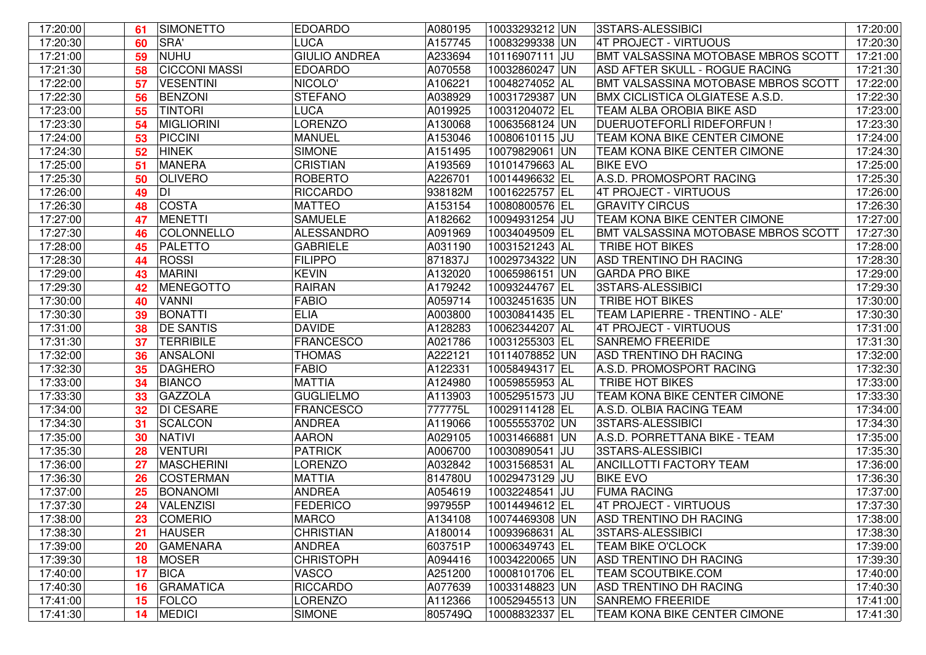| 17:20:00 | 61 | SIMONETTO            | <b>EDOARDO</b>       | A080195 | 10033293212 UN | 3STARS-ALESSIBICI                          | 17:20:00 |
|----------|----|----------------------|----------------------|---------|----------------|--------------------------------------------|----------|
| 17:20:30 | 60 | SRA'                 | <b>LUCA</b>          | A157745 | 10083299338 UN | 4T PROJECT - VIRTUOUS                      | 17:20:30 |
| 17:21:00 | 59 | NUHU                 | <b>GIULIO ANDREA</b> | A233694 | 10116907111 JU | BMT VALSASSINA MOTOBASE MBROS SCOTT        | 17:21:00 |
| 17:21:30 | 58 | <b>CICCONI MASSI</b> | <b>EDOARDO</b>       | A070558 | 10032860247 UN | ASD AFTER SKULL - ROGUE RACING             | 17:21:30 |
| 17:22:00 | 57 | <b>VESENTINI</b>     | NICOLO'              | A106221 | 10048274052 AL | BMT VALSASSINA MOTOBASE MBROS SCOTT        | 17:22:00 |
| 17:22:30 | 56 | <b>BENZONI</b>       | <b>STEFANO</b>       | A038929 | 10031729387 UN | <b>BMX CICLISTICA OLGIATESE A.S.D.</b>     | 17:22:30 |
| 17:23:00 | 55 | <b>TINTORI</b>       | <b>LUCA</b>          | A019925 | 10031204072 EL | TEAM ALBA OROBIA BIKE ASD                  | 17:23:00 |
| 17:23:30 | 54 | <b>MIGLIORINI</b>    | <b>LORENZO</b>       | A130068 | 10063568124 UN | DUERUOTEFORLI RIDEFORFUN !                 | 17:23:30 |
| 17:24:00 | 53 | <b>PICCINI</b>       | <b>MANUEL</b>        | A153046 | 10080610115 JU | TEAM KONA BIKE CENTER CIMONE               | 17:24:00 |
| 17:24:30 | 52 | <b>HINEK</b>         | <b>SIMONE</b>        | A151495 | 10079829061 UN | TEAM KONA BIKE CENTER CIMONE               | 17:24:30 |
| 17:25:00 | 51 | <b>MANERA</b>        | <b>CRISTIAN</b>      | A193569 | 10101479663 AL | <b>BIKE EVO</b>                            | 17:25:00 |
| 17:25:30 | 50 | <b>OLIVERO</b>       | <b>ROBERTO</b>       | A226701 | 10014496632 EL | A.S.D. PROMOSPORT RACING                   | 17:25:30 |
| 17:26:00 | 49 | DI                   | <b>RICCARDO</b>      | 938182M | 10016225757 EL | 4T PROJECT - VIRTUOUS                      | 17:26:00 |
| 17:26:30 | 48 | COSTA                | <b>MATTEO</b>        | A153154 | 10080800576 EL | <b>GRAVITY CIRCUS</b>                      | 17:26:30 |
| 17:27:00 | 47 | <b>MENETTI</b>       | <b>SAMUELE</b>       | A182662 | 10094931254 JU | TEAM KONA BIKE CENTER CIMONE               | 17:27:00 |
| 17:27:30 | 46 | COLONNELLO           | <b>ALESSANDRO</b>    | A091969 | 10034049509 EL | <b>BMT VALSASSINA MOTOBASE MBROS SCOTT</b> | 17:27:30 |
| 17:28:00 | 45 | PALETTO              | <b>GABRIELE</b>      | A031190 | 10031521243 AL | <b>TRIBE HOT BIKES</b>                     | 17:28:00 |
| 17:28:30 | 44 | ROSSI                | <b>FILIPPO</b>       | 871837J | 10029734322 UN | <b>ASD TRENTINO DH RACING</b>              | 17:28:30 |
| 17:29:00 | 43 | <b>MARINI</b>        | <b>KEVIN</b>         | A132020 | 10065986151 UN | <b>GARDA PRO BIKE</b>                      | 17:29:00 |
| 17:29:30 | 42 | MENEGOTTO            | <b>RAIRAN</b>        | A179242 | 10093244767 EL | 3STARS-ALESSIBICI                          | 17:29:30 |
| 17:30:00 | 40 | <b>VANNI</b>         | <b>FABIO</b>         | A059714 | 10032451635 UN | <b>TRIBE HOT BIKES</b>                     | 17:30:00 |
| 17:30:30 | 39 | <b>BONATTI</b>       | <b>ELIA</b>          | A003800 | 10030841435 EL | TEAM LAPIERRE - TRENTINO - ALE'            | 17:30:30 |
| 17:31:00 | 38 | <b>DE SANTIS</b>     | <b>DAVIDE</b>        | A128283 | 10062344207 AL | 4T PROJECT - VIRTUOUS                      | 17:31:00 |
| 17:31:30 | 37 | <b>TERRIBILE</b>     | <b>FRANCESCO</b>     | A021786 | 10031255303 EL | <b>SANREMO FREERIDE</b>                    | 17:31:30 |
| 17:32:00 | 36 | <b>ANSALONI</b>      | <b>THOMAS</b>        | A222121 | 10114078852 UN | <b>ASD TRENTINO DH RACING</b>              | 17:32:00 |
| 17:32:30 | 35 | <b>DAGHERO</b>       | <b>FABIO</b>         | A122331 | 10058494317 EL | A.S.D. PROMOSPORT RACING                   | 17:32:30 |
| 17:33:00 | 34 | <b>BIANCO</b>        | <b>MATTIA</b>        | A124980 | 10059855953 AL | <b>TRIBE HOT BIKES</b>                     | 17:33:00 |
| 17:33:30 | 33 | <b>GAZZOLA</b>       | <b>GUGLIELMO</b>     | A113903 | 10052951573 JU | TEAM KONA BIKE CENTER CIMONE               | 17:33:30 |
| 17:34:00 | 32 | <b>DI CESARE</b>     | <b>FRANCESCO</b>     | 777775L | 10029114128 EL | A.S.D. OLBIA RACING TEAM                   | 17:34:00 |
| 17:34:30 | 31 | SCALCON              | <b>ANDREA</b>        | A119066 | 10055553702 UN | 3STARS-ALESSIBICI                          | 17:34:30 |
| 17:35:00 | 30 | <b>NATIVI</b>        | <b>AARON</b>         | A029105 | 10031466881 UN | A.S.D. PORRETTANA BIKE - TEAM              | 17:35:00 |
| 17:35:30 | 28 | <b>VENTURI</b>       | <b>PATRICK</b>       | A006700 | 10030890541 JU | 3STARS-ALESSIBICI                          | 17:35:30 |
| 17:36:00 | 27 | MASCHERINI           | <b>LORENZO</b>       | A032842 | 10031568531 AL | <b>ANCILLOTTI FACTORY TEAM</b>             | 17:36:00 |
| 17:36:30 | 26 | <b>COSTERMAN</b>     | <b>MATTIA</b>        | 814780U | 10029473129 JU | <b>BIKE EVO</b>                            | 17:36:30 |
| 17:37:00 | 25 | BONANOMI             | <b>ANDREA</b>        | A054619 | 10032248541 JU | <b>FUMA RACING</b>                         | 17:37:00 |
| 17:37:30 | 24 | <b>VALENZISI</b>     | <b>FEDERICO</b>      | 997955P | 10014494612 EL | 4T PROJECT - VIRTUOUS                      | 17:37:30 |
| 17:38:00 | 23 | <b>COMERIO</b>       | <b>MARCO</b>         | A134108 | 10074469308 UN | <b>ASD TRENTINO DH RACING</b>              | 17:38:00 |
| 17:38:30 | 21 | <b>HAUSER</b>        | <b>CHRISTIAN</b>     | A180014 | 10093968631 AL | 3STARS-ALESSIBICI                          | 17:38:30 |
| 17:39:00 | 20 | <b>GAMENARA</b>      | <b>ANDREA</b>        | 603751P | 10006349743 EL | TEAM BIKE O'CLOCK                          | 17:39:00 |
| 17:39:30 | 18 | MOSER                | <b>CHRISTOPH</b>     | A094416 | 10034220065 UN | ASD TRENTINO DH RACING                     | 17:39:30 |
| 17:40:00 | 17 | <b>BICA</b>          | <b>VASCO</b>         | A251200 | 10008101706 EL | <b>TEAM SCOUTBIKE.COM</b>                  | 17:40:00 |
| 17:40:30 | 16 | <b>GRAMATICA</b>     | <b>RICCARDO</b>      | A077639 | 10033148823 UN | ASD TRENTINO DH RACING                     | 17:40:30 |
| 17:41:00 | 15 | FOLCO                | <b>LORENZO</b>       | A112366 | 10052945513 UN | <b>SANREMO FREERIDE</b>                    | 17:41:00 |
| 17:41:30 | 14 | <b>MEDICI</b>        | <b>SIMONE</b>        | 805749Q | 10008832337 EL | TEAM KONA BIKE CENTER CIMONE               | 17:41:30 |
|          |    |                      |                      |         |                |                                            |          |